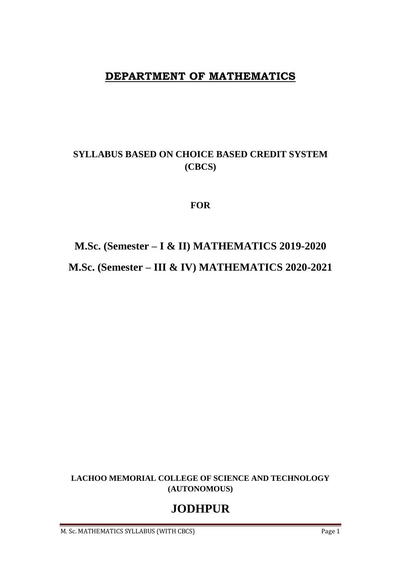# **DEPARTMENT OF MATHEMATICS**

# **SYLLABUS BASED ON CHOICE BASED CREDIT SYSTEM (CBCS)**

# **FOR**

# **M.Sc. (Semester – I & II) MATHEMATICS 2019-2020 M.Sc. (Semester – III & IV) MATHEMATICS 2020-2021**

**LACHOO MEMORIAL COLLEGE OF SCIENCE AND TECHNOLOGY (AUTONOMOUS)**

# **JODHPUR**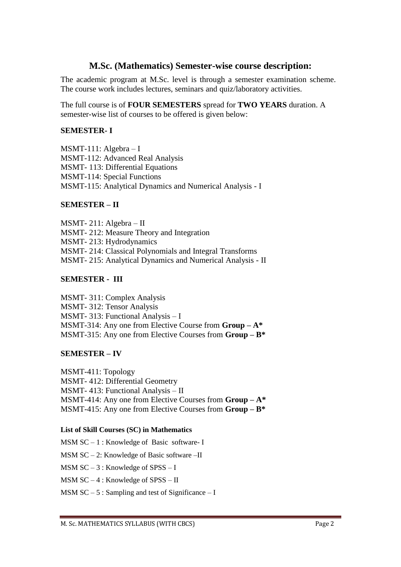# **M.Sc. (Mathematics) Semester-wise course description:**

The academic program at M.Sc. level is through a semester examination scheme. The course work includes lectures, seminars and quiz/laboratory activities.

The full course is of **FOUR SEMESTERS** spread for **TWO YEARS** duration. A semester-wise list of courses to be offered is given below:

# **SEMESTER- I**

MSMT-111: Algebra – I MSMT-112: Advanced Real Analysis MSMT- 113: Differential Equations MSMT-114: Special Functions MSMT-115: Analytical Dynamics and Numerical Analysis - I

# **SEMESTER – II**

MSMT- 211: Algebra – II MSMT- 212: Measure Theory and Integration MSMT- 213: Hydrodynamics MSMT- 214: Classical Polynomials and Integral Transforms MSMT- 215: Analytical Dynamics and Numerical Analysis - II

# **SEMESTER - III**

MSMT- 311: Complex Analysis MSMT- 312: Tensor Analysis MSMT- 313: Functional Analysis – I MSMT-314: Any one from Elective Course from **Group – A\*** MSMT-315: Any one from Elective Courses from **Group – B\***

# **SEMESTER – IV**

MSMT-411: Topology MSMT- 412: Differential Geometry MSMT- 413: Functional Analysis – II MSMT-414: Any one from Elective Courses from **Group – A\*** MSMT-415: Any one from Elective Courses from **Group – B\***

# **List of Skill Courses (SC) in Mathematics**

MSM SC – 1 : Knowledge of Basic software- I

MSM SC – 2: Knowledge of Basic software –II

MSM SC – 3 : Knowledge of SPSS – I

MSM SC – 4 : Knowledge of SPSS – II

MSM  $SC - 5$ : Sampling and test of Significance – I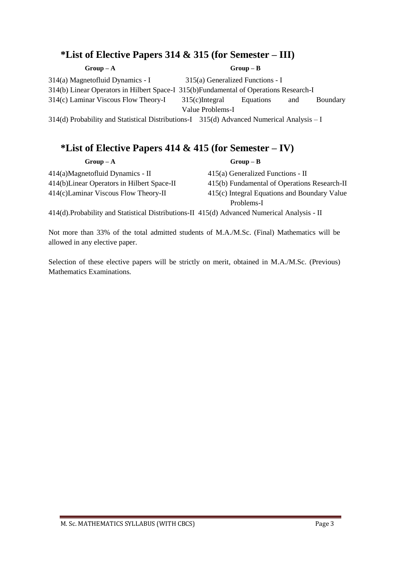# **\*List of Elective Papers 314 & 315 (for Semester – III)**

### $Group-A$  **Group – A**

314(a) Magnetofluid Dynamics - I 315(a) Generalized Functions - I 314(b) Linear Operators in Hilbert Space-I 315(b)Fundamental of Operations Research-I 314(c) Laminar Viscous Flow Theory-I 315(c)Integral Equations and Boundary Value Problems-I

314(d) Probability and Statistical Distributions-I 315(d) Advanced Numerical Analysis – I

# **\*List of Elective Papers 414 & 415 (for Semester – IV)**

 $Group - A$  **Group** – **B** 

414(a)Magnetofluid Dynamics - II 415(a) Generalized Functions - II

414(b)Linear Operators in Hilbert Space-II 415(b) Fundamental of Operations Research-II 414(c)Laminar Viscous Flow Theory-II 415(c) Integral Equations and Boundary Value

Problems-I

414(d).Probability and Statistical Distributions-II 415(d) Advanced Numerical Analysis - II

Not more than 33% of the total admitted students of M.A./M.Sc. (Final) Mathematics will be allowed in any elective paper.

Selection of these elective papers will be strictly on merit, obtained in M.A./M.Sc. (Previous) Mathematics Examinations.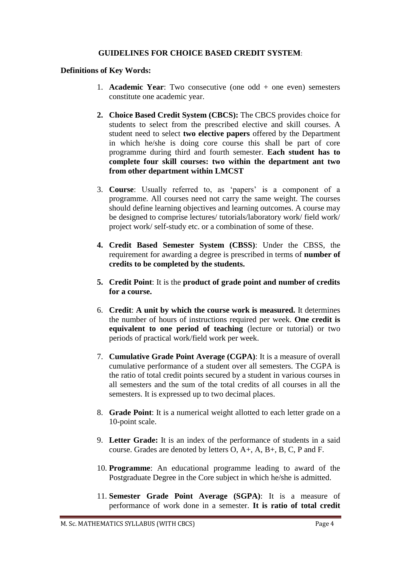# **GUIDELINES FOR CHOICE BASED CREDIT SYSTEM**:

### **Definitions of Key Words:**

- 1. **Academic Year**: Two consecutive (one odd + one even) semesters constitute one academic year.
- **2. Choice Based Credit System (CBCS):** The CBCS provides choice for students to select from the prescribed elective and skill courses. A student need to select **two elective papers** offered by the Department in which he/she is doing core course this shall be part of core programme during third and fourth semester. **Each student has to complete four skill courses: two within the department ant two from other department within LMCST**
- 3. **Course**: Usually referred to, as 'papers' is a component of a programme. All courses need not carry the same weight. The courses should define learning objectives and learning outcomes. A course may be designed to comprise lectures/ tutorials/laboratory work/ field work/ project work/ self-study etc. or a combination of some of these.
- **4. Credit Based Semester System (CBSS)**: Under the CBSS, the requirement for awarding a degree is prescribed in terms of **number of credits to be completed by the students.**
- **5. Credit Point**: It is the **product of grade point and number of credits for a course.**
- 6. **Credit**: **A unit by which the course work is measured.** It determines the number of hours of instructions required per week. **One credit is equivalent to one period of teaching** (lecture or tutorial) or two periods of practical work/field work per week.
- 7. **Cumulative Grade Point Average (CGPA)**: It is a measure of overall cumulative performance of a student over all semesters. The CGPA is the ratio of total credit points secured by a student in various courses in all semesters and the sum of the total credits of all courses in all the semesters. It is expressed up to two decimal places.
- 8. **Grade Point**: It is a numerical weight allotted to each letter grade on a 10-point scale.
- 9. **Letter Grade:** It is an index of the performance of students in a said course. Grades are denoted by letters O, A+, A, B+, B, C, P and F.
- 10. **Programme**: An educational programme leading to award of the Postgraduate Degree in the Core subject in which he/she is admitted.
- 11. **Semester Grade Point Average (SGPA)**: It is a measure of performance of work done in a semester. **It is ratio of total credit**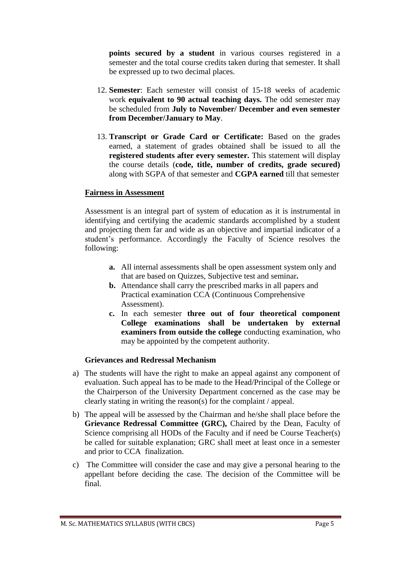**points secured by a student** in various courses registered in a semester and the total course credits taken during that semester. It shall be expressed up to two decimal places.

- 12. **Semester**: Each semester will consist of 15-18 weeks of academic work **equivalent to 90 actual teaching days.** The odd semester may be scheduled from **July to November/ December and even semester from December/January to May**.
- 13. **Transcript or Grade Card or Certificate:** Based on the grades earned, a statement of grades obtained shall be issued to all the **registered students after every semester.** This statement will display the course details (**code, title, number of credits, grade secured)** along with SGPA of that semester and **CGPA earned** till that semester

# **Fairness in Assessment**

Assessment is an integral part of system of education as it is instrumental in identifying and certifying the academic standards accomplished by a student and projecting them far and wide as an objective and impartial indicator of a student's performance. Accordingly the Faculty of Science resolves the following:

- **a.** All internal assessments shall be open assessment system only and that are based on Quizzes, Subjective test and seminar**.**
- **b.** Attendance shall carry the prescribed marks in all papers and Practical examination CCA (Continuous Comprehensive Assessment).
- **c.** In each semester **three out of four theoretical component College examinations shall be undertaken by external examiners from outside the college** conducting examination, who may be appointed by the competent authority.

### **Grievances and Redressal Mechanism**

- a) The students will have the right to make an appeal against any component of evaluation. Such appeal has to be made to the Head/Principal of the College or the Chairperson of the University Department concerned as the case may be clearly stating in writing the reason(s) for the complaint / appeal.
- b) The appeal will be assessed by the Chairman and he/she shall place before the **Grievance Redressal Committee (GRC),** Chaired by the Dean, Faculty of Science comprising all HODs of the Faculty and if need be Course Teacher(s) be called for suitable explanation; GRC shall meet at least once in a semester and prior to CCA finalization.
- c) The Committee will consider the case and may give a personal hearing to the appellant before deciding the case. The decision of the Committee will be final.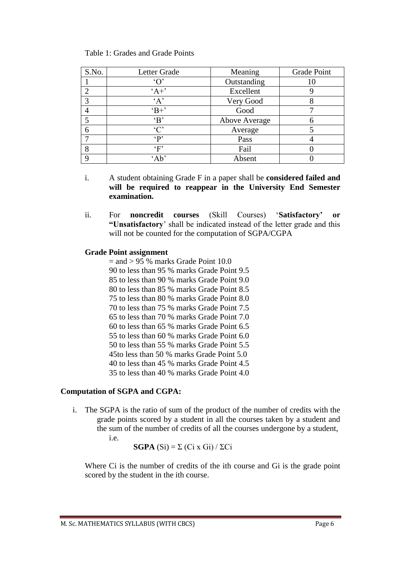### Table 1: Grades and Grade Points

| S.No.         | Letter Grade        | Meaning       | Grade Point |
|---------------|---------------------|---------------|-------------|
|               | $^{\circ}$ $\Omega$ | Outstanding   |             |
| $\mathcal{D}$ | $A +$               | Excellent     |             |
| 3             | A                   | Very Good     |             |
|               | $B+$                | Good          |             |
|               | $\Delta$            | Above Average |             |
| 6             | $\cdot$ C'          | Average       |             |
|               | $\mathbf{P}$        | Pass          |             |
| 8             | $\lq F$             | Fail          |             |
| $\Omega$      | 'Ab'                | Absent        |             |

- i. A student obtaining Grade F in a paper shall be **considered failed and will be required to reappear in the University End Semester examination.**
- ii. For **noncredit courses** (Skill Courses) '**Satisfactory' or "Unsatisfactory**' shall be indicated instead of the letter grade and this will not be counted for the computation of SGPA/CGPA

# **Grade Point assignment**

 $=$  and  $> 95$  % marks Grade Point 10.0 90 to less than 95 % marks Grade Point 9.5 85 to less than 90 % marks Grade Point 9.0 80 to less than 85 % marks Grade Point 8.5 75 to less than 80 % marks Grade Point 8.0 70 to less than 75 % marks Grade Point 7.5 65 to less than 70 % marks Grade Point 7.0 60 to less than 65 % marks Grade Point 6.5 55 to less than 60 % marks Grade Point 6.0 50 to less than 55 % marks Grade Point 5.5 45to less than 50 % marks Grade Point 5.0 40 to less than 45 % marks Grade Point 4.5 35 to less than 40 % marks Grade Point 4.0

# **Computation of SGPA and CGPA:**

i. The SGPA is the ratio of sum of the product of the number of credits with the grade points scored by a student in all the courses taken by a student and the sum of the number of credits of all the courses undergone by a student, i.e.

**SGPA**  $(Si) = \sum (Ci \times Gi) / \sum Ci$ 

Where Ci is the number of credits of the ith course and Gi is the grade point scored by the student in the ith course.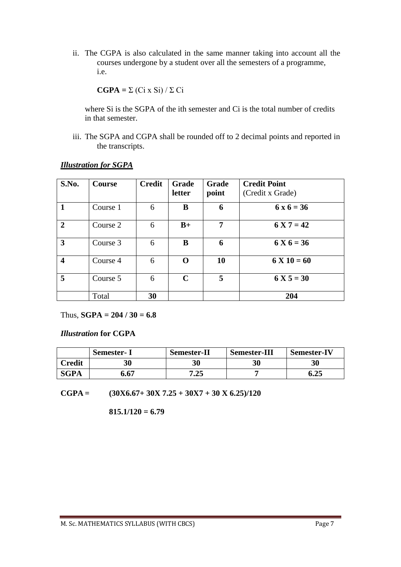ii. The CGPA is also calculated in the same manner taking into account all the courses undergone by a student over all the semesters of a programme, i.e.

$$
CGPA = \Sigma (Ci \times Si) / \Sigma Ci
$$

where Si is the SGPA of the ith semester and Ci is the total number of credits in that semester.

iii. The SGPA and CGPA shall be rounded off to 2 decimal points and reported in the transcripts.

| S.No.        | <b>Course</b> | <b>Credit</b> | <b>Grade</b><br>letter | <b>Grade</b><br>point | <b>Credit Point</b><br>(Credit x Grade) |
|--------------|---------------|---------------|------------------------|-----------------------|-----------------------------------------|
|              | Course 1      | 6             | B                      | 6                     | $6x6 = 36$                              |
| $\mathbf{2}$ | Course 2      | 6             | $B+$                   | 7                     | $6 X 7 = 42$                            |
| 3            | Course 3      | 6             | B                      | 6                     | $6 X 6 = 36$                            |
| 4            | Course 4      | 6             | O                      | 10                    | $6 X 10 = 60$                           |
| 5            | Course 5      | 6             | $\mathbf C$            | 5                     | $6 X 5 = 30$                            |
|              | Total         | 30            |                        |                       | 204                                     |

### *Illustration for SGPA*

Thus,  $SGPA = 204 / 30 = 6.8$ 

*Illustration* **for CGPA**

|             | <b>Semester-I</b> | <b>Semester-II</b> | <b>Semester-III</b> | <b>Semester-IV</b> |
|-------------|-------------------|--------------------|---------------------|--------------------|
| Credit      | 30                | 30                 | 30                  | 30                 |
| <b>SGPA</b> | 6.67              | 7.25               |                     | 6.25               |

**CGPA = (30X6.67+ 30X 7.25 + 30X7 + 30 X 6.25)/120**

**815.1/120 = 6.79**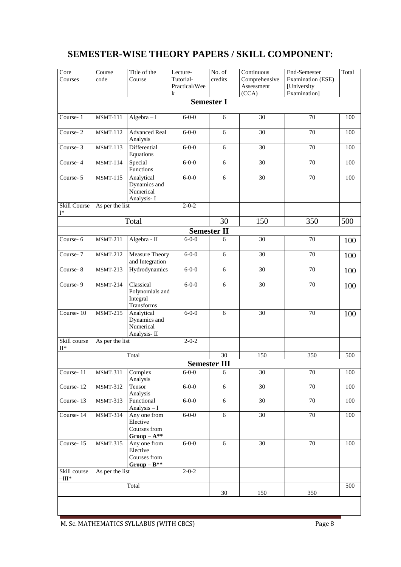# **SEMESTER-WISE THEORY PAPERS / SKILL COMPONENT:**

| Core<br>Courses                          | Course<br>code  | Title of the<br>Course                                     | Lecture-<br>Tutorial-<br>Practical/Wee<br>${\bf k}$ | No. of<br>credits   | Continuous<br>Comprehensive<br>Assessment<br>(CCA) | End-Semester<br>Examination (ESE)<br>[University<br>Examination] | Total |
|------------------------------------------|-----------------|------------------------------------------------------------|-----------------------------------------------------|---------------------|----------------------------------------------------|------------------------------------------------------------------|-------|
|                                          |                 |                                                            |                                                     | <b>Semester I</b>   |                                                    |                                                                  |       |
| Course-1                                 | <b>MSMT-111</b> | $Algebra - I$                                              | $6 - 0 - 0$                                         | 6                   | 30                                                 | 70                                                               | 100   |
| Course-2                                 | <b>MSMT-112</b> | <b>Advanced Real</b><br>Analysis                           | $6 - 0 - 0$                                         | 6                   | $\overline{30}$                                    | 70                                                               | 100   |
| Course-3                                 | <b>MSMT-113</b> | Differential<br>Equations                                  | $6 - 0 - 0$                                         | $\overline{6}$      | $\overline{30}$                                    | 70                                                               | 100   |
| Course-4                                 | <b>MSMT-114</b> | Special<br>Functions                                       | $6 - 0 - 0$                                         | 6                   | 30                                                 | 70                                                               | 100   |
| Course-5                                 | <b>MSMT-115</b> | Analytical<br>Dynamics and<br>Numerical<br>Analysis-I      | $6 - 0 - 0$                                         | 6                   | 30                                                 | 70                                                               | 100   |
| <b>Skill Course</b><br>$I^*$             | As per the list |                                                            | $2 - 0 - 2$                                         |                     |                                                    |                                                                  |       |
|                                          |                 | Total                                                      |                                                     | 30                  | 150                                                | 350                                                              | 500   |
|                                          |                 |                                                            |                                                     | <b>Semester II</b>  |                                                    |                                                                  |       |
| Course-6                                 | <b>MSMT-211</b> | Algebra - II                                               | $6 - 0 - 0$                                         | 6                   | $\overline{30}$                                    | 70                                                               | 100   |
| Course- $7$                              | <b>MSMT-212</b> | Measure Theory<br>and Integration                          | $6 - 0 - 0$                                         | 6                   | 30                                                 | 70                                                               | 100   |
| Course-8                                 | <b>MSMT-213</b> | Hydrodynamics                                              | $6 - 0 - 0$                                         | 6                   | 30                                                 | 70                                                               | 100   |
| Course-9                                 | <b>MSMT-214</b> | Classical<br>Polynomials and<br>Integral<br>Transforms     | $6 - 0 - 0$                                         | $\overline{6}$      | 30                                                 | 70                                                               | 100   |
| Course-10                                | <b>MSMT-215</b> | Analytical<br>Dynamics and<br>Numerical<br>Analysis-II     | $6 - 0 - 0$                                         | 6                   | 30                                                 | 70                                                               | 100   |
| Skill course<br>$\rm II*$                | As per the list |                                                            | $2 - 0 - 2$                                         |                     |                                                    |                                                                  |       |
|                                          |                 | Total                                                      |                                                     | 30                  | 150                                                | 350                                                              | 500   |
|                                          |                 |                                                            |                                                     | <b>Semester III</b> |                                                    |                                                                  |       |
| Course-11                                | <b>MSMT-311</b> | Complex<br>Analysis                                        | $6 - 0 - 0$                                         | 6                   | 30                                                 | $70\,$                                                           | 100   |
| Course-12                                | <b>MSMT-312</b> | Tensor<br>Analysis                                         | $6 - 0 - 0$                                         | $\overline{6}$      | $\overline{30}$                                    | $\overline{70}$                                                  | 100   |
| Course-13                                | <b>MSMT-313</b> | Functional<br>Analysis - I                                 | $6 - 0 - 0$                                         | 6                   | 30                                                 | 70                                                               | 100   |
| Course-14                                | <b>MSMT-314</b> | Any one from<br>Elective<br>Courses from<br>$Group-A^{**}$ | $6 - 0 - 0$                                         | $\overline{6}$      | $\overline{30}$                                    | 70                                                               | 100   |
| Course-15                                | <b>MSMT-315</b> | Any one from<br>Elective<br>Courses from<br>$Group-B**$    | $6 - 0 - 0$                                         | $6\,$               | $\overline{30}$                                    | $70\,$                                                           | 100   |
| Skill course<br>$\overline{\phantom{a}}$ | As per the list |                                                            | $2 - 0 - 2$                                         |                     |                                                    |                                                                  |       |
|                                          |                 | Total                                                      |                                                     | $30\,$              | 150                                                | 350                                                              | 500   |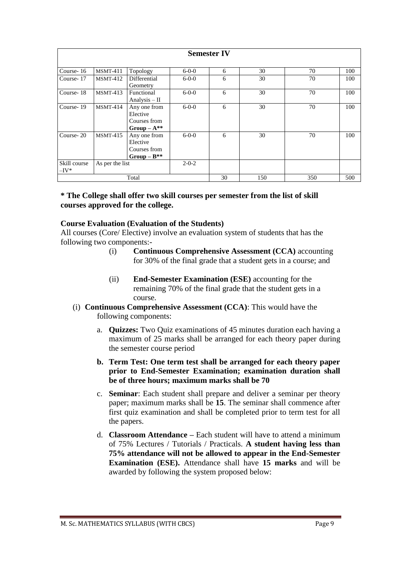| <b>Semester IV</b>      |                 |                                                            |             |     |     |     |     |
|-------------------------|-----------------|------------------------------------------------------------|-------------|-----|-----|-----|-----|
| Course-16               | MSMT-411        | Topology                                                   | $6 - 0 - 0$ | 6   | 30  | 70  | 100 |
| Course-17               | $MSMT-412$      | Differential<br>Geometry                                   | $6 - 0 - 0$ | 6   | 30  | 70  | 100 |
| Course-18               | $MSMT-413$      | Functional<br>Analysis $-$ II                              | $6 - 0 - 0$ | 6   | 30  | 70  | 100 |
| Course-19               | MSMT-414        | Any one from<br>Elective<br>Courses from<br>$Group-A^{**}$ | $6 - 0 - 0$ | 6   | 30  | 70  | 100 |
| Course-20               | $MSMT-415$      | Any one from<br>Elective<br>Courses from<br>$Group-B^{**}$ | $6 - 0 - 0$ | 6   | 30  | 70  | 100 |
| Skill course<br>$-IV^*$ | As per the list |                                                            | $2 - 0 - 2$ |     |     |     |     |
| Total                   |                 |                                                            | 30          | 150 | 350 | 500 |     |

# **\* The College shall offer two skill courses per semester from the list of skill courses approved for the college.**

# **Course Evaluation (Evaluation of the Students)**

All courses (Core/ Elective) involve an evaluation system of students that has the following two components:-

- (i) **Continuous Comprehensive Assessment (CCA)** accounting for 30% of the final grade that a student gets in a course; and
- (ii) **End-Semester Examination (ESE)** accounting for the remaining 70% of the final grade that the student gets in a course.
- (i) **Continuous Comprehensive Assessment (CCA)**: This would have the following components:
	- a. **Quizzes:** Two Quiz examinations of 45 minutes duration each having a maximum of 25 marks shall be arranged for each theory paper during the semester course period
	- **b. Term Test: One term test shall be arranged for each theory paper prior to End-Semester Examination; examination duration shall be of three hours; maximum marks shall be 70**
	- c. **Seminar**: Each student shall prepare and deliver a seminar per theory paper; maximum marks shall be **15**. The seminar shall commence after first quiz examination and shall be completed prior to term test for all the papers.
	- d. **Classroom Attendance –** Each student will have to attend a minimum of 75% Lectures / Tutorials / Practicals. **A student having less than 75% attendance will not be allowed to appear in the End-Semester Examination (ESE).** Attendance shall have **15 marks** and will be awarded by following the system proposed below: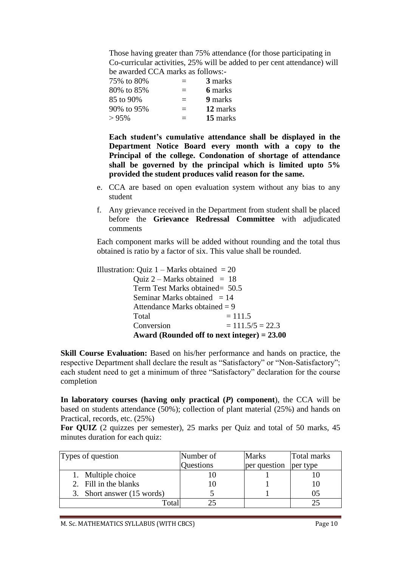Those having greater than 75% attendance (for those participating in Co-curricular activities, 25% will be added to per cent attendance) will be awarded CCA marks as follows:-

| 75% to 80%   | $=$      | 3 marks  |
|--------------|----------|----------|
| 80% to 85%   | $\equiv$ | 6 marks  |
| 85 to 90%    | $=$      | 9 marks  |
| 90\% to 95\% | $\equiv$ | 12 marks |
| >95%         | $=$      | 15 marks |

**Each student's cumulative attendance shall be displayed in the Department Notice Board every month with a copy to the Principal of the college. Condonation of shortage of attendance shall be governed by the principal which is limited upto 5% provided the student produces valid reason for the same.**

- e. CCA are based on open evaluation system without any bias to any student
- f. Any grievance received in the Department from student shall be placed before the **Grievance Redressal Committee** with adjudicated comments

Each component marks will be added without rounding and the total thus obtained is ratio by a factor of six. This value shall be rounded.

Illustration: Ouiz  $1 -$  Marks obtained  $= 20$ Ouiz  $2$  – Marks obtained = 18 Term Test Marks obtained= 50.5 Seminar Marks obtained  $= 14$ Attendance Marks obtained  $= 9$  $Total = 111.5$ Conversion  $= 111.5/5 = 22.3$ **Award (Rounded off to next integer) = 23.00** 

**Skill Course Evaluation:** Based on his/her performance and hands on practice, the respective Department shall declare the result as "Satisfactory" or "Non-Satisfactory"; each student need to get a minimum of three "Satisfactory" declaration for the course completion

**In laboratory courses (having only practical (***P***) component**), the CCA will be based on students attendance (50%); collection of plant material (25%) and hands on Practical, records, etc. (25%)

**For QUIZ** (2 quizzes per semester), 25 marks per Quiz and total of 50 marks, 45 minutes duration for each quiz:

| Types of question          | Number of | <b>Marks</b> | Total marks |
|----------------------------|-----------|--------------|-------------|
|                            | Questions | per question | per type    |
| 1. Multiple choice         |           |              |             |
| 2. Fill in the blanks      |           |              |             |
| 3. Short answer (15 words) |           |              | 05          |
| `otal                      |           |              |             |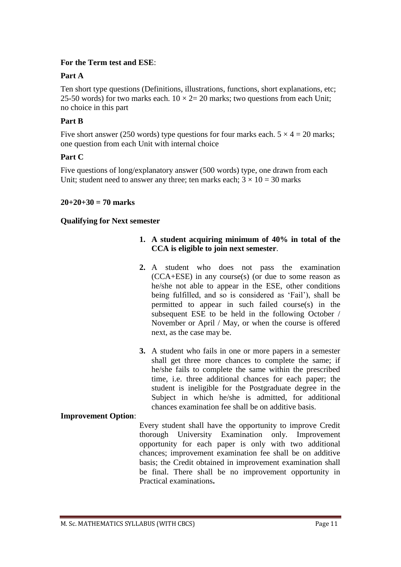# **For the Term test and ESE**:

# **Part A**

Ten short type questions (Definitions, illustrations, functions, short explanations, etc; 25-50 words) for two marks each.  $10 \times 2 = 20$  marks; two questions from each Unit; no choice in this part

# **Part B**

Five short answer (250 words) type questions for four marks each.  $5 \times 4 = 20$  marks; one question from each Unit with internal choice

# **Part C**

Five questions of long/explanatory answer (500 words) type, one drawn from each Unit; student need to answer any three; ten marks each;  $3 \times 10 = 30$  marks

# **20+20+30 = 70 marks**

# **Qualifying for Next semester**

- **1. A student acquiring minimum of 40% in total of the CCA is eligible to join next semester**.
- **2.** A student who does not pass the examination (CCA+ESE) in any course(s) (or due to some reason as he/she not able to appear in the ESE, other conditions being fulfilled, and so is considered as 'Fail'), shall be permitted to appear in such failed course(s) in the subsequent ESE to be held in the following October / November or April / May, or when the course is offered next, as the case may be.
- **3.** A student who fails in one or more papers in a semester shall get three more chances to complete the same; if he/she fails to complete the same within the prescribed time, i.e. three additional chances for each paper; the student is ineligible for the Postgraduate degree in the Subject in which he/she is admitted, for additional chances examination fee shall be on additive basis.

# **Improvement Option**:

Every student shall have the opportunity to improve Credit thorough University Examination only. Improvement opportunity for each paper is only with two additional chances; improvement examination fee shall be on additive basis; the Credit obtained in improvement examination shall be final. There shall be no improvement opportunity in Practical examinations**.**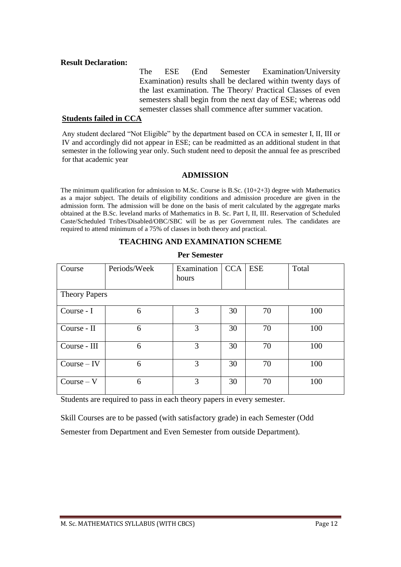### **Result Declaration:**

The ESE (End Semester Examination/University Examination) results shall be declared within twenty days of the last examination. The Theory/ Practical Classes of even semesters shall begin from the next day of ESE; whereas odd semester classes shall commence after summer vacation.

### **Students failed in CCA**

Any student declared "Not Eligible" by the department based on CCA in semester I, II, III or IV and accordingly did not appear in ESE; can be readmitted as an additional student in that semester in the following year only. Such student need to deposit the annual fee as prescribed for that academic year

# **ADMISSION**

The minimum qualification for admission to M.Sc. Course is B.Sc.  $(10+2+3)$  degree with Mathematics as a major subject. The details of eligibility conditions and admission procedure are given in the admission form. The admission will be done on the basis of merit calculated by the aggregate marks obtained at the B.Sc. leveland marks of Mathematics in B. Sc. Part I, II, III. Reservation of Scheduled Caste/Scheduled Tribes/Disabled/OBC/SBC will be as per Government rules. The candidates are required to attend minimum of a 75% of classes in both theory and practical.

# **TEACHING AND EXAMINATION SCHEME**

| Course        | Periods/Week         | Examination<br>hours | CCA | ESE | Total |  |
|---------------|----------------------|----------------------|-----|-----|-------|--|
|               | <b>Theory Papers</b> |                      |     |     |       |  |
| Course - I    | 6                    | 3                    | 30  | 70  | 100   |  |
| Course - II   | 6                    | 3                    | 30  | 70  | 100   |  |
| Course - III  | 6                    | 3                    | 30  | 70  | 100   |  |
| $Course - IV$ | 6                    | 3                    | 30  | 70  | 100   |  |
| $Course - V$  | 6                    | 3                    | 30  | 70  | 100   |  |

### **Per Semester**

Students are required to pass in each theory papers in every semester.

Skill Courses are to be passed (with satisfactory grade) in each Semester (Odd Semester from Department and Even Semester from outside Department).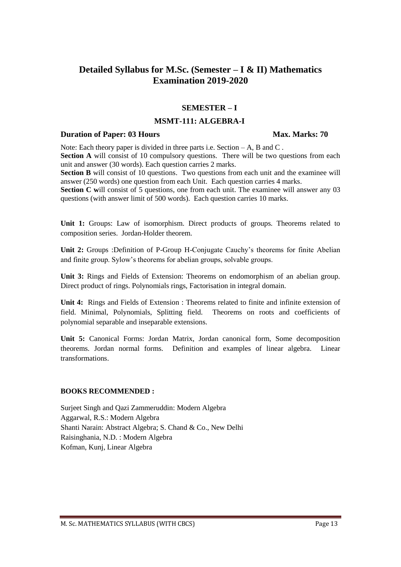# **Detailed Syllabus for M.Sc. (Semester – I & II) Mathematics Examination 2019-2020**

### **SEMESTER – I**

### **MSMT-111: ALGEBRA-I**

### **Duration of Paper: 03 Hours Max. Marks: 70**

Note: Each theory paper is divided in three parts i.e. Section – A, B and C . **Section A** will consist of 10 compulsory questions. There will be two questions from each unit and answer (30 words). Each question carries 2 marks. **Section B** will consist of 10 questions. Two questions from each unit and the examinee will

answer (250 words) one question from each Unit. Each question carries 4 marks. **Section C** will consist of 5 questions, one from each unit. The examinee will answer any 03 questions (with answer limit of 500 words). Each question carries 10 marks.

**Unit 1:** Groups: Law of isomorphism. Direct products of groups. Theorems related to composition series. Jordan-Holder theorem.

**Unit 2:** Groups :Definition of P-Group H-Conjugate Cauchy's theorems for finite Abelian and finite group. Sylow's theorems for abelian groups, solvable groups.

**Unit 3:** Rings and Fields of Extension: Theorems on endomorphism of an abelian group. Direct product of rings. Polynomials rings, Factorisation in integral domain.

**Unit 4:** Rings and Fields of Extension : Theorems related to finite and infinite extension of field. Minimal, Polynomials, Splitting field. Theorems on roots and coefficients of polynomial separable and inseparable extensions.

**Unit 5:** Canonical Forms: Jordan Matrix, Jordan canonical form, Some decomposition theorems. Jordan normal forms. Definition and examples of linear algebra. Linear transformations.

### **BOOKS RECOMMENDED :**

Surjeet Singh and Qazi Zammeruddin: Modern Algebra Aggarwal, R.S.: Modern Algebra Shanti Narain: Abstract Algebra; S. Chand & Co., New Delhi Raisinghania, N.D. : Modern Algebra Kofman, Kunj, Linear Algebra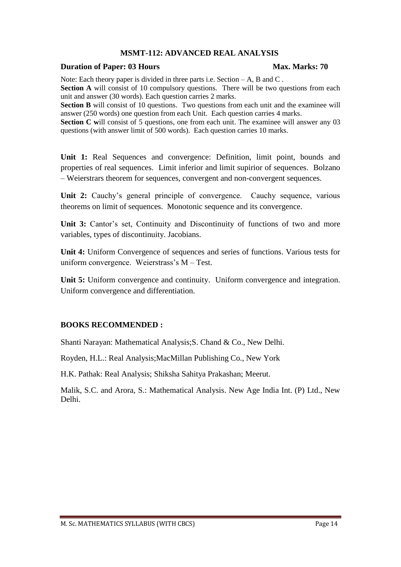# **MSMT-112: ADVANCED REAL ANALYSIS**

### **Duration of Paper: 03 Hours Max. Marks: 70**

Note: Each theory paper is divided in three parts i.e. Section – A, B and C.

**Section A** will consist of 10 compulsory questions. There will be two questions from each unit and answer (30 words). Each question carries 2 marks.

**Section B** will consist of 10 questions. Two questions from each unit and the examinee will answer (250 words) one question from each Unit. Each question carries 4 marks.

**Section C** will consist of 5 questions, one from each unit. The examinee will answer any 03 questions (with answer limit of 500 words). Each question carries 10 marks.

**Unit 1:** Real Sequences and convergence: Definition, limit point, bounds and properties of real sequences. Limit inferior and limit supirior of sequences. Bolzano – Weierstrars theorem for sequences, convergent and non-convergent sequences.

Unit 2: Cauchy's general principle of convergence. Cauchy sequence, various theorems on limit of sequences. Monotonic sequence and its convergence.

Unit 3: Cantor's set, Continuity and Discontinuity of functions of two and more variables, types of discontinuity. Jacobians.

**Unit 4:** Uniform Convergence of sequences and series of functions. Various tests for uniform convergence. Weierstrass's M – Test.

**Unit 5:** Uniform convergence and continuity. Uniform convergence and integration. Uniform convergence and differentiation.

# **BOOKS RECOMMENDED :**

Shanti Narayan: Mathematical Analysis;S. Chand & Co., New Delhi.

Royden, H.L.: Real Analysis;MacMillan Publishing Co., New York

H.K. Pathak: Real Analysis; Shiksha Sahitya Prakashan; Meerut.

Malik, S.C. and Arora, S.: Mathematical Analysis. New Age India Int. (P) Ltd., New Delhi.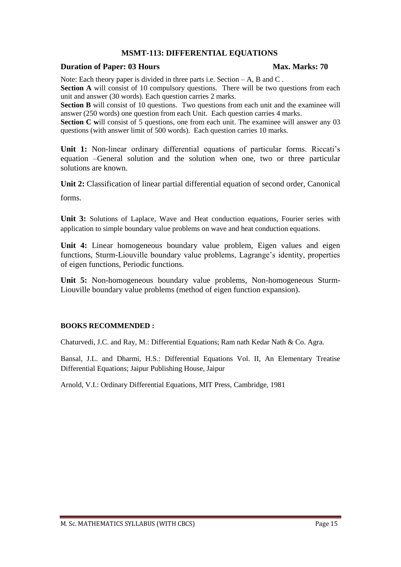# **MSMT-113: DIFFERENTIAL EQUATIONS**

### **Duration of Paper: 03 Hours Max. Marks: 70**

Note: Each theory paper is divided in three parts i.e. Section – A, B and C.

**Section A** will consist of 10 compulsory questions. There will be two questions from each unit and answer (30 words). Each question carries 2 marks.

**Section B** will consist of 10 questions. Two questions from each unit and the examinee will answer (250 words) one question from each Unit. Each question carries 4 marks.

**Section C** will consist of 5 questions, one from each unit. The examinee will answer any 03 questions (with answer limit of 500 words). Each question carries 10 marks.

**Unit 1:** Non-linear ordinary differential equations of particular forms. Riccati's equation –General solution and the solution when one, two or three particular solutions are known.

**Unit 2:** Classification of linear partial differential equation of second order, Canonical

forms.

**Unit 3:** Solutions of Laplace, Wave and Heat conduction equations, Fourier series with application to simple boundary value problems on wave and heat conduction equations.

**Unit 4:** Linear homogeneous boundary value problem, Eigen values and eigen functions, Sturm-Liouville boundary value problems, Lagrange's identity, properties of eigen functions, Periodic functions.

**Unit 5:** Non-homogeneous boundary value problems, Non-homogeneous Sturm-Liouville boundary value problems (method of eigen function expansion).

### **BOOKS RECOMMENDED :**

Chaturvedi, J.C. and Ray, M.: Differential Equations; Ram nath Kedar Nath & Co. Agra.

Bansal, J.L. and Dharmi, H.S.: Differential Equations Vol. II, An Elementary Treatise Differential Equations; Jaipur Publishing House, Jaipur

Arnold, V.I.: Ordinary Differential Equations, MIT Press, Cambridge, 1981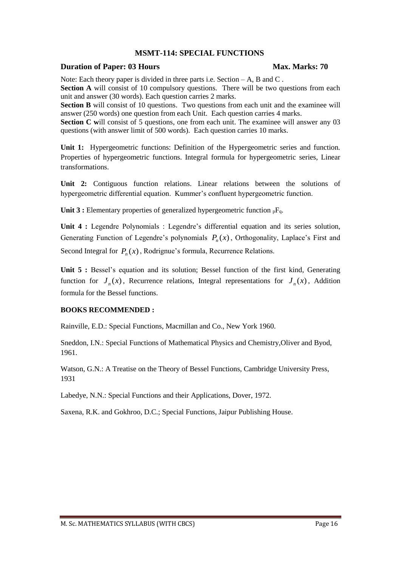# **MSMT-114: SPECIAL FUNCTIONS**

### **Duration of Paper: 03 Hours Max. Marks: 70**

Note: Each theory paper is divided in three parts i.e. Section – A, B and C.

**Section A** will consist of 10 compulsory questions. There will be two questions from each unit and answer (30 words). Each question carries 2 marks.

**Section B** will consist of 10 questions. Two questions from each unit and the examinee will answer (250 words) one question from each Unit. Each question carries 4 marks.

**Section C will consist of 5 questions, one from each unit. The examinee will answer any 03** questions (with answer limit of 500 words). Each question carries 10 marks.

**Unit 1:** Hypergeometric functions: Definition of the Hypergeometric series and function. Properties of hypergeometric functions. Integral formula for hypergeometric series, Linear transformations.

**Unit 2:** Contiguous function relations. Linear relations between the solutions of hypergeometric differential equation. Kummer's confluent hypergeometric function.

Unit 3 : Elementary properties of generalized hypergeometric function <sub>p</sub>F<sub>q</sub>.

**Unit 4 :** Legendre Polynomials : Legendre's differential equation and its series solution, Generating Function of Legendre's polynomials  $P_n(x)$ , Orthogonality, Laplace's First and Second Integral for  $P_n(x)$ , Rodrignue's formula, Recurrence Relations.

Unit 5 : Bessel's equation and its solution; Bessel function of the first kind, Generating function for  $J_n(x)$ , Recurrence relations, Integral representations for  $J_n(x)$ , Addition formula for the Bessel functions.

### **BOOKS RECOMMENDED :**

Rainville, E.D.: Special Functions, Macmillan and Co., New York 1960.

Sneddon, I.N.: Special Functions of Mathematical Physics and Chemistry,Oliver and Byod, 1961.

Watson, G.N.: A Treatise on the Theory of Bessel Functions, Cambridge University Press, 1931

Labedye, N.N.: Special Functions and their Applications, Dover, 1972.

Saxena, R.K. and Gokhroo, D.C.; Special Functions, Jaipur Publishing House.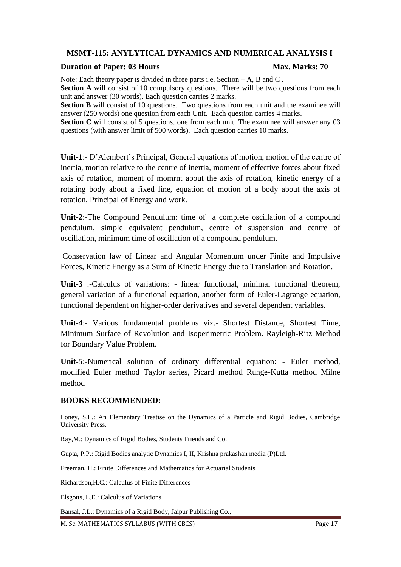# **MSMT-115: ANYLYTICAL DYNAMICS AND NUMERICAL ANALYSIS I**

### **Duration of Paper: 03 Hours Max. Marks: 70**

Note: Each theory paper is divided in three parts i.e. Section – A, B and C.

**Section A** will consist of 10 compulsory questions. There will be two questions from each unit and answer (30 words). Each question carries 2 marks.

**Section B** will consist of 10 questions. Two questions from each unit and the examinee will answer (250 words) one question from each Unit. Each question carries 4 marks.

**Section C** will consist of 5 questions, one from each unit. The examinee will answer any 03 questions (with answer limit of 500 words). Each question carries 10 marks.

**Unit-1**:- D'Alembert's Principal, General equations of motion, motion of the centre of inertia, motion relative to the centre of inertia, moment of effective forces about fixed axis of rotation, moment of momrnt about the axis of rotation, kinetic energy of a rotating body about a fixed line, equation of motion of a body about the axis of rotation, Principal of Energy and work.

**Unit-2**:-The Compound Pendulum: time of a complete oscillation of a compound pendulum, simple equivalent pendulum, centre of suspension and centre of oscillation, minimum time of oscillation of a compound pendulum.

Conservation law of Linear and Angular Momentum under Finite and Impulsive Forces, Kinetic Energy as a Sum of Kinetic Energy due to Translation and Rotation.

Unit-3 :-Calculus of variations: - linear functional, minimal functional theorem, general variation of a functional equation, another form of Euler-Lagrange equation, functional dependent on higher-order derivatives and several dependent variables.

**Unit-4**:- Various fundamental problems viz.- Shortest Distance, Shortest Time, Minimum Surface of Revolution and Isoperimetric Problem. Rayleigh-Ritz Method for Boundary Value Problem.

**Unit-5**:-Numerical solution of ordinary differential equation: - Euler method, modified Euler method Taylor series, Picard method Runge-Kutta method Milne method

### **BOOKS RECOMMENDED:**

Loney, S.L.: An Elementary Treatise on the Dynamics of a Particle and Rigid Bodies, Cambridge University Press.

Ray,M.: Dynamics of Rigid Bodies, Students Friends and Co.

Gupta, P.P.: Rigid Bodies analytic Dynamics I, II, Krishna prakashan media (P)Ltd.

Freeman, H.: Finite Differences and Mathematics for Actuarial Students

Richardson,H.C.: Calculus of Finite Differences

Elsgotts, L.E.: Calculus of Variations

Bansal, J.L.: Dynamics of a Rigid Body, Jaipur Publishing Co.,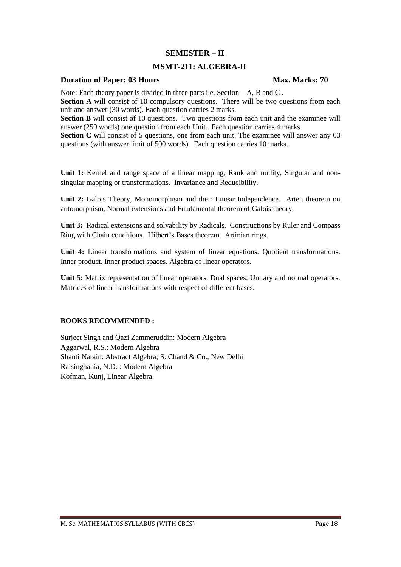# **SEMESTER – II**

# **MSMT-211: ALGEBRA-II**

### **Duration of Paper: 03 Hours Max. Marks: 70**

Note: Each theory paper is divided in three parts i.e. Section – A, B and C.

**Section A** will consist of 10 compulsory questions. There will be two questions from each unit and answer (30 words). Each question carries 2 marks.

**Section B** will consist of 10 questions. Two questions from each unit and the examinee will answer (250 words) one question from each Unit. Each question carries 4 marks.

**Section C** will consist of 5 questions, one from each unit. The examinee will answer any 03 questions (with answer limit of 500 words). Each question carries 10 marks.

**Unit 1:** Kernel and range space of a linear mapping, Rank and nullity, Singular and nonsingular mapping or transformations. Invariance and Reducibility.

**Unit 2:** Galois Theory, Monomorphism and their Linear Independence. Arten theorem on automorphism, Normal extensions and Fundamental theorem of Galois theory.

**Unit 3:** Radical extensions and solvability by Radicals. Constructions by Ruler and Compass Ring with Chain conditions. Hilbert's Bases theorem. Artinian rings.

**Unit 4:** Linear transformations and system of linear equations. Quotient transformations. Inner product. Inner product spaces. Algebra of linear operators.

**Unit 5:** Matrix representation of linear operators. Dual spaces. Unitary and normal operators. Matrices of linear transformations with respect of different bases.

### **BOOKS RECOMMENDED :**

Surjeet Singh and Qazi Zammeruddin: Modern Algebra Aggarwal, R.S.: Modern Algebra Shanti Narain: Abstract Algebra; S. Chand & Co., New Delhi Raisinghania, N.D. : Modern Algebra Kofman, Kunj, Linear Algebra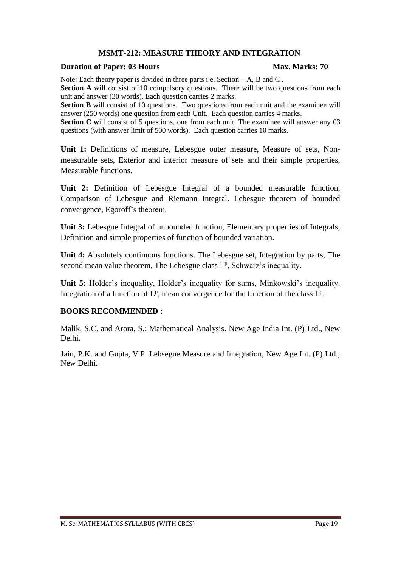# **MSMT-212: MEASURE THEORY AND INTEGRATION**

### **Duration of Paper: 03 Hours Max. Marks: 70**

Note: Each theory paper is divided in three parts i.e. Section – A, B and C.

**Section A** will consist of 10 compulsory questions. There will be two questions from each unit and answer (30 words). Each question carries 2 marks.

**Section B** will consist of 10 questions. Two questions from each unit and the examinee will answer (250 words) one question from each Unit. Each question carries 4 marks.

**Section C** will consist of 5 questions, one from each unit. The examinee will answer any 03 questions (with answer limit of 500 words). Each question carries 10 marks.

**Unit 1:** Definitions of measure, Lebesgue outer measure, Measure of sets, Nonmeasurable sets, Exterior and interior measure of sets and their simple properties, Measurable functions.

**Unit 2:** Definition of Lebesgue Integral of a bounded measurable function, Comparison of Lebesgue and Riemann Integral. Lebesgue theorem of bounded convergence, Egoroff's theorem.

**Unit 3:** Lebesgue Integral of unbounded function, Elementary properties of Integrals, Definition and simple properties of function of bounded variation.

**Unit 4:** Absolutely continuous functions. The Lebesgue set, Integration by parts, The second mean value theorem, The Lebesgue class L<sup>p</sup>, Schwarz's inequality.

**Unit 5:** Holder's inequality, Holder's inequality for sums, Minkowski's inequality. Integration of a function of  $L^p$ , mean convergence for the function of the class  $L^p$ .

### **BOOKS RECOMMENDED :**

Malik, S.C. and Arora, S.: Mathematical Analysis. New Age India Int. (P) Ltd., New Delhi.

Jain, P.K. and Gupta, V.P. Lebsegue Measure and Integration, New Age Int. (P) Ltd., New Delhi.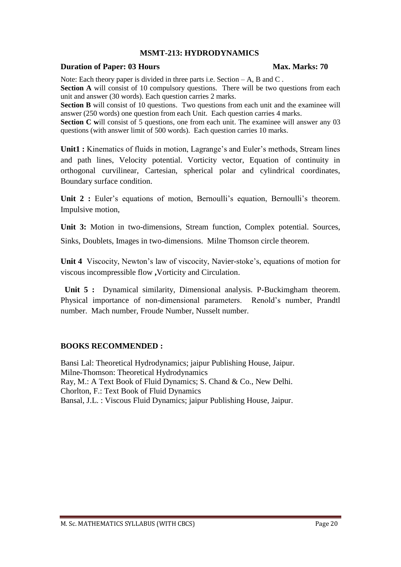# **MSMT-213: HYDRODYNAMICS**

### **Duration of Paper: 03 Hours Max. Marks: 70**

Note: Each theory paper is divided in three parts i.e. Section – A, B and C.

**Section A** will consist of 10 compulsory questions. There will be two questions from each unit and answer (30 words). Each question carries 2 marks.

**Section B** will consist of 10 questions. Two questions from each unit and the examinee will answer (250 words) one question from each Unit. Each question carries 4 marks.

**Section C** will consist of 5 questions, one from each unit. The examinee will answer any 03 questions (with answer limit of 500 words). Each question carries 10 marks.

**Unit1 :** Kinematics of fluids in motion, Lagrange's and Euler's methods, Stream lines and path lines, Velocity potential. Vorticity vector, Equation of continuity in orthogonal curvilinear, Cartesian, spherical polar and cylindrical coordinates, Boundary surface condition.

Unit 2 : Euler's equations of motion, Bernoulli's equation, Bernoulli's theorem. Impulsive motion,

**Unit 3:** Motion in two-dimensions, Stream function, Complex potential. Sources, Sinks, Doublets, Images in two-dimensions. Milne Thomson circle theorem.

**Unit 4** Viscocity, Newton's law of viscocity, Navier-stoke's, equations of motion for viscous incompressible flow **,**Vorticity and Circulation.

 **Unit 5 :** Dynamical similarity, Dimensional analysis. P-Buckimgham theorem. Physical importance of non-dimensional parameters. Renold's number, Prandtl number. Mach number, Froude Number, Nusselt number.

# **BOOKS RECOMMENDED :**

Bansi Lal: Theoretical Hydrodynamics; jaipur Publishing House, Jaipur. Milne-Thomson: Theoretical Hydrodynamics Ray, M.: A Text Book of Fluid Dynamics; S. Chand & Co., New Delhi. Chorlton, F.: Text Book of Fluid Dynamics Bansal, J.L. : Viscous Fluid Dynamics; jaipur Publishing House, Jaipur.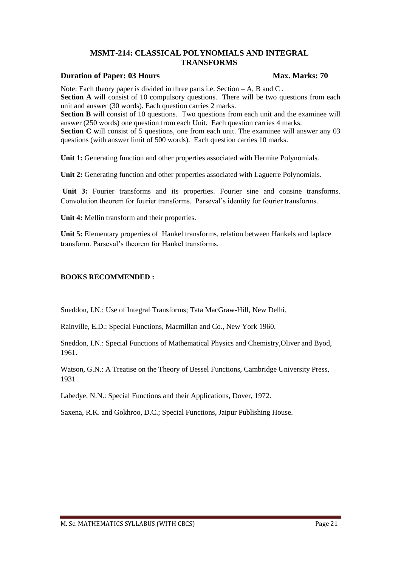### **MSMT-214: CLASSICAL POLYNOMIALS AND INTEGRAL TRANSFORMS**

### **Duration of Paper: 03 Hours Max. Marks: 70**

Note: Each theory paper is divided in three parts i.e. Section  $-A$ , B and C. **Section A** will consist of 10 compulsory questions. There will be two questions from each unit and answer (30 words). Each question carries 2 marks.

**Section B** will consist of 10 questions. Two questions from each unit and the examinee will answer (250 words) one question from each Unit. Each question carries 4 marks. **Section C** will consist of 5 questions, one from each unit. The examinee will answer any 03 questions (with answer limit of 500 words). Each question carries 10 marks.

Unit 1: Generating function and other properties associated with Hermite Polynomials.

**Unit 2:** Generating function and other properties associated with Laguerre Polynomials.

**Unit 3:** Fourier transforms and its properties. Fourier sine and consine transforms. Convolution theorem for fourier transforms. Parseval's identity for fourier transforms.

**Unit 4:** Mellin transform and their properties.

**Unit 5:** Elementary properties of Hankel transforms, relation between Hankels and laplace transform. Parseval's theorem for Hankel transforms.

### **BOOKS RECOMMENDED :**

Sneddon, I.N.: Use of Integral Transforms; Tata MacGraw-Hill, New Delhi.

Rainville, E.D.: Special Functions, Macmillan and Co., New York 1960.

Sneddon, I.N.: Special Functions of Mathematical Physics and Chemistry,Oliver and Byod, 1961.

Watson, G.N.: A Treatise on the Theory of Bessel Functions, Cambridge University Press, 1931

Labedye, N.N.: Special Functions and their Applications, Dover, 1972.

Saxena, R.K. and Gokhroo, D.C.; Special Functions, Jaipur Publishing House.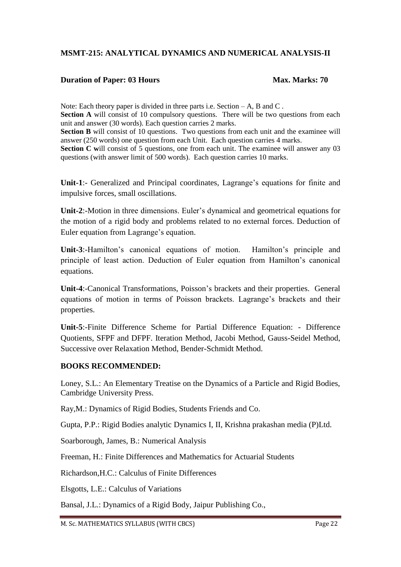# **MSMT-215: ANALYTICAL DYNAMICS AND NUMERICAL ANALYSIS-II**

# **Duration of Paper: 03 Hours Max. Marks: 70**

Note: Each theory paper is divided in three parts i.e. Section – A, B and C. **Section A** will consist of 10 compulsory questions. There will be two questions from each unit and answer (30 words). Each question carries 2 marks. **Section B** will consist of 10 questions. Two questions from each unit and the examinee will answer (250 words) one question from each Unit. Each question carries 4 marks.

**Section C** will consist of 5 questions, one from each unit. The examinee will answer any 03 questions (with answer limit of 500 words). Each question carries 10 marks.

**Unit-1**:- Generalized and Principal coordinates, Lagrange's equations for finite and impulsive forces, small oscillations.

**Unit-2**:-Motion in three dimensions. Euler's dynamical and geometrical equations for the motion of a rigid body and problems related to no external forces. Deduction of Euler equation from Lagrange's equation.

**Unit-3**:-Hamilton's canonical equations of motion. Hamilton's principle and principle of least action. Deduction of Euler equation from Hamilton's canonical equations.

**Unit-4**:-Canonical Transformations, Poisson's brackets and their properties. General equations of motion in terms of Poisson brackets. Lagrange's brackets and their properties.

**Unit-5**:-Finite Difference Scheme for Partial Difference Equation: - Difference Quotients, SFPF and DFPF. Iteration Method, Jacobi Method, Gauss-Seidel Method, Successive over Relaxation Method, Bender-Schmidt Method.

### **BOOKS RECOMMENDED:**

Loney, S.L.: An Elementary Treatise on the Dynamics of a Particle and Rigid Bodies, Cambridge University Press.

Ray,M.: Dynamics of Rigid Bodies, Students Friends and Co.

Gupta, P.P.: Rigid Bodies analytic Dynamics I, II, Krishna prakashan media (P)Ltd.

Soarborough, James, B.: Numerical Analysis

Freeman, H.: Finite Differences and Mathematics for Actuarial Students

Richardson,H.C.: Calculus of Finite Differences

Elsgotts, L.E.: Calculus of Variations

Bansal, J.L.: Dynamics of a Rigid Body, Jaipur Publishing Co.,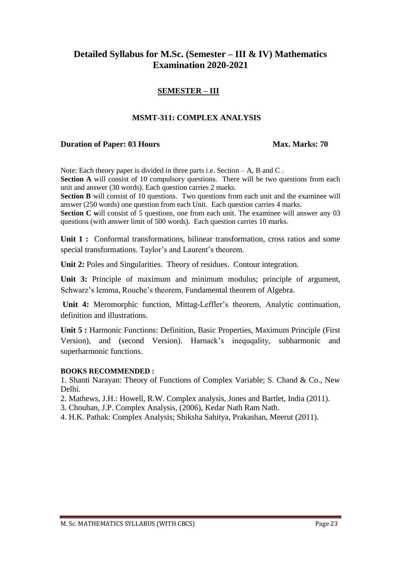# **Detailed Syllabus for M.Sc. (Semester – III & IV) Mathematics Examination 2020-2021**

# **SEMESTER – III**

# **MSMT-311: COMPLEX ANALYSIS**

### **Duration of Paper: 03 Hours Max. Marks: 70**

Note: Each theory paper is divided in three parts i.e. Section – A, B and C. **Section A** will consist of 10 compulsory questions. There will be two questions from each unit and answer (30 words). Each question carries 2 marks.

**Section B** will consist of 10 questions. Two questions from each unit and the examinee will answer (250 words) one question from each Unit. Each question carries 4 marks.

**Section C** will consist of 5 questions, one from each unit. The examinee will answer any 03 questions (with answer limit of 500 words). Each question carries 10 marks.

**Unit 1 :** Conformal transformations, bilinear transformation, cross ratios and some special transformations. Taylor's and Laurent's theorem.

**Unit 2:** Poles and Singularities. Theory of residues. Contour integration.

**Unit 3:** Principle of maximum and minimum modulus; principle of argument, Schwarz's lemma, Rouche's theorem, Fundamental theorem of Algebra.

**Unit 4:** Meromorphic function, Mittag-Leffler's theorem, Analytic continuation, definition and illustrations.

**Unit 5 :** Harmonic Functions: Definition, Basic Properties, Maximum Principle (First Version), and (second Version). Harnack's inequqality, subharmonic and superharmonic functions.

### **BOOKS RECOMMENDED :**

1. Shanti Narayan: Theory of Functions of Complex Variable; S. Chand & Co., New Delhi.

2. Mathews, J.H.: Howell, R.W. Complex analysis, Jones and Bartlet, India (2011).

3. Chouhan, J.P. Complex Analysis, (2006), Kedar Nath Ram Nath.

4. H.K. Pathak: Complex Analysis; Shiksha Sahitya, Prakashan, Meerut (2011).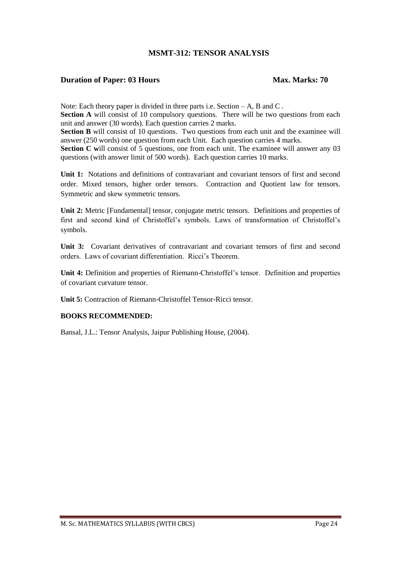# **MSMT-312: TENSOR ANALYSIS**

### **Duration of Paper: 03 Hours Max. Marks: 70**

Note: Each theory paper is divided in three parts i.e. Section  $-A$ , B and C. **Section A** will consist of 10 compulsory questions. There will be two questions from each

unit and answer (30 words). Each question carries 2 marks.

**Section B** will consist of 10 questions. Two questions from each unit and the examinee will answer (250 words) one question from each Unit. Each question carries 4 marks.

**Section C** will consist of 5 questions, one from each unit. The examinee will answer any 03 questions (with answer limit of 500 words). Each question carries 10 marks.

Unit 1: Notations and definitions of contravariant and covariant tensors of first and second order. Mixed tensors, higher order tensors. Contraction and Quotient law for tensors. Symmetric and skew symmetric tensors.

**Unit 2:** Metric [Fundamental] tensor, conjugate metric tensors. Definitions and properties of first and second kind of Christoffel's symbols. Laws of transformation of Christoffel's symbols.

Unit 3: Covariant derivatives of contravariant and covariant tensors of first and second orders. Laws of covariant differentiation. Ricci's Theorem.

**Unit 4:** Definition and properties of Riemann-Christoffel's tensor. Definition and properties of covariant curvature tensor.

**Unit 5:** Contraction of Riemann-Christoffel Tensor-Ricci tensor.

### **BOOKS RECOMMENDED:**

Bansal, J.L.: Tensor Analysis, Jaipur Publishing House, (2004).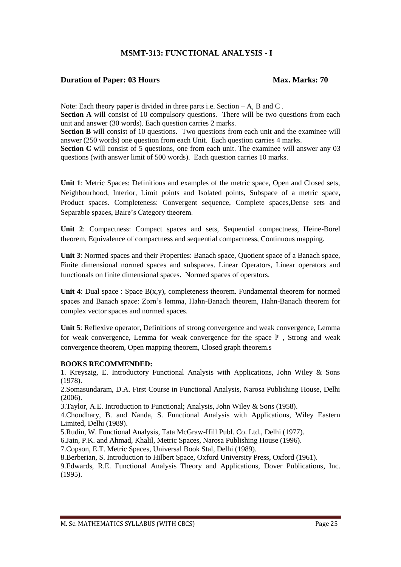# **MSMT-313: FUNCTIONAL ANALYSIS - I**

### **Duration of Paper: 03 Hours Max. Marks: 70**

Note: Each theory paper is divided in three parts i.e. Section – A, B and C. **Section A** will consist of 10 compulsory questions. There will be two questions from each unit and answer (30 words). Each question carries 2 marks.

**Section B** will consist of 10 questions. Two questions from each unit and the examinee will answer (250 words) one question from each Unit. Each question carries 4 marks.

**Section C** will consist of 5 questions, one from each unit. The examinee will answer any 03 questions (with answer limit of 500 words). Each question carries 10 marks.

**Unit 1**: Metric Spaces: Definitions and examples of the metric space, Open and Closed sets, Neighbourhood, Interior, Limit points and Isolated points, Subspace of a metric space, Product spaces. Completeness: Convergent sequence, Complete spaces,Dense sets and Separable spaces, Baire's Category theorem.

**Unit 2**: Compactness: Compact spaces and sets, Sequential compactness, Heine-Borel theorem, Equivalence of compactness and sequential compactness, Continuous mapping.

Unit 3: Normed spaces and their Properties: Banach space, Quotient space of a Banach space, Finite dimensional normed spaces and subspaces. Linear Operators, Linear operators and functionals on finite dimensional spaces. Normed spaces of operators.

**Unit 4**: Dual space : Space  $B(x,y)$ , completeness theorem. Fundamental theorem for normed spaces and Banach space: Zorn's lemma, Hahn-Banach theorem, Hahn-Banach theorem for complex vector spaces and normed spaces.

**Unit 5**: Reflexive operator, Definitions of strong convergence and weak convergence, Lemma for weak convergence, Lemma for weak convergence for the space  $l^p$ , Strong and weak convergence theorem, Open mapping theorem, Closed graph theorem.s

### **BOOKS RECOMMENDED:**

1. Kreyszig, E. Introductory Functional Analysis with Applications, John Wiley & Sons (1978).

2.Somasundaram, D.A. First Course in Functional Analysis, Narosa Publishing House, Delhi (2006).

3.Taylor, A.E. Introduction to Functional; Analysis, John Wiley & Sons (1958).

4.Choudhary, B. and Nanda, S. Functional Analysis with Applications, Wiley Eastern Limited, Delhi (1989).

5.Rudin, W. Functional Analysis, Tata McGraw-Hill Publ. Co. Ltd., Delhi (1977).

6.Jain, P.K. and Ahmad, Khalil, Metric Spaces, Narosa Publishing House (1996).

7.Copson, E.T. Metric Spaces, Universal Book Stal, Delhi (1989).

8.Berberian, S. Introduction to Hilbert Space, Oxford University Press, Oxford (1961).

9.Edwards, R.E. Functional Analysis Theory and Applications, Dover Publications, Inc. (1995).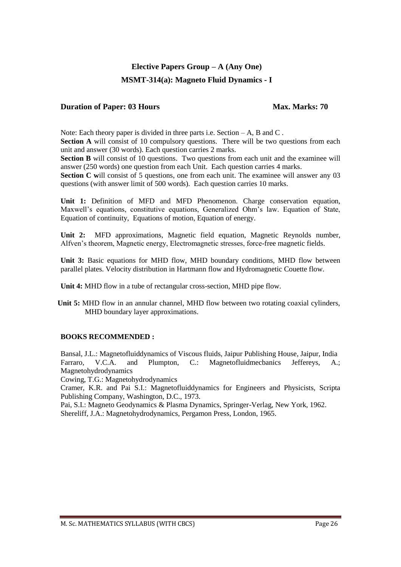# **MSMT-314(a): Magneto Fluid Dynamics - I**

### **Duration of Paper: 03 Hours Max. Marks: 70**

Note: Each theory paper is divided in three parts i.e. Section – A, B and C.

**Section A** will consist of 10 compulsory questions. There will be two questions from each unit and answer (30 words). Each question carries 2 marks.

**Section B** will consist of 10 questions. Two questions from each unit and the examinee will answer (250 words) one question from each Unit. Each question carries 4 marks.

**Section C** will consist of 5 questions, one from each unit. The examinee will answer any 03 questions (with answer limit of 500 words). Each question carries 10 marks.

**Unit 1:** Definition of MFD and MFD Phenomenon. Charge conservation equation, Maxwell's equations, constitutive equations, Generalized Ohm's law. Equation of State, Equation of continuity, Equations of motion, Equation of energy.

**Unit 2:** MFD approximations, Magnetic field equation, Magnetic Reynolds number, Alfven's theorem, Magnetic energy, Electromagnetic stresses, force-free magnetic fields.

**Unit 3:** Basic equations for MHD flow, MHD boundary conditions, MHD flow between parallel plates. Velocity distribution in Hartmann flow and Hydromagnetic Couette flow.

**Unit 4:** MHD flow in a tube of rectangular cross-section, MHD pipe flow.

**Unit 5:** MHD flow in an annular channel, MHD flow between two rotating coaxial cylinders, MHD boundary layer approximations.

### **BOOKS RECOMMENDED :**

Bansal, J.L.: Magnetofluiddynamics of Viscous fluids, Jaipur Publishing House, Jaipur, India Farraro, V.C.A. and Plumpton, C.: Magnetofluidmecbanics Jeffereys, A.; Magnetohydrodynamics

Cowing, T.G.: Magnetohydrodynamics

Cramer, K.R. and Pai S.I.: Magnetofluiddynamics for Engineers and Physicists, Scripta Publishing Company, Washington, D.C., 1973.

Pai, S.I.: Magneto Geodynamics & Plasma Dynamics, Springer-Verlag, New York, 1962. Shereliff, J.A.: Magnetohydrodynamics, Pergamon Press, London, 1965.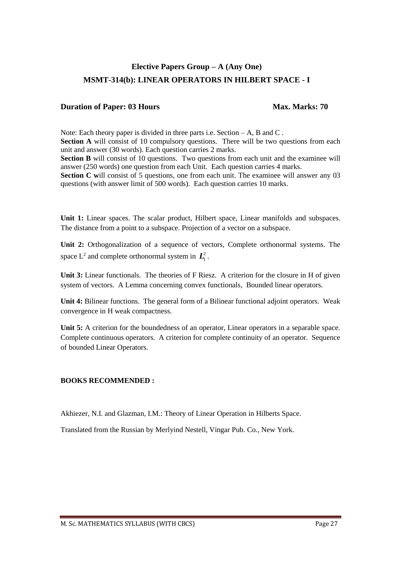# **Elective Papers Group – A (Any One) MSMT-314(b): LINEAR OPERATORS IN HILBERT SPACE - I**

### **Duration of Paper: 03 Hours Max. Marks: 70**

Note: Each theory paper is divided in three parts i.e. Section – A, B and C. **Section A** will consist of 10 compulsory questions. There will be two questions from each unit and answer (30 words). Each question carries 2 marks. **Section B** will consist of 10 questions. Two questions from each unit and the examinee will answer (250 words) one question from each Unit. Each question carries 4 marks. **Section C** will consist of 5 questions, one from each unit. The examinee will answer any 03 questions (with answer limit of 500 words). Each question carries 10 marks.

Unit 1: Linear spaces. The scalar product, Hilbert space, Linear manifolds and subspaces. The distance from a point to a subspace. Projection of a vector on a subspace.

**Unit 2:** Orthogonalization of a sequence of vectors, Complete orthonormal systems. The space  $L^2$  and complete orthonormal system in  $\mathbf{L}_1^2$ .

**Unit 3:** Linear functionals. The theories of F Riesz. A criterion for the closure in H of given system of vectors. A Lemma concerning convex functionals, Bounded linear operators.

**Unit 4:** Bilinear functions. The general form of a Bilinear functional adjoint operators. Weak convergence in H weak compactness.

Unit 5: A criterion for the boundedness of an operator, Linear operators in a separable space. Complete continuous operators. A criterion for complete continuity of an operator. Sequence of bounded Linear Operators.

### **BOOKS RECOMMENDED :**

Akhiezer, N.I. and Glazman, I.M.: Theory of Linear Operation in Hilberts Space.

Translated from the Russian by Merlyind Nestell, Vingar Pub. Co., New York.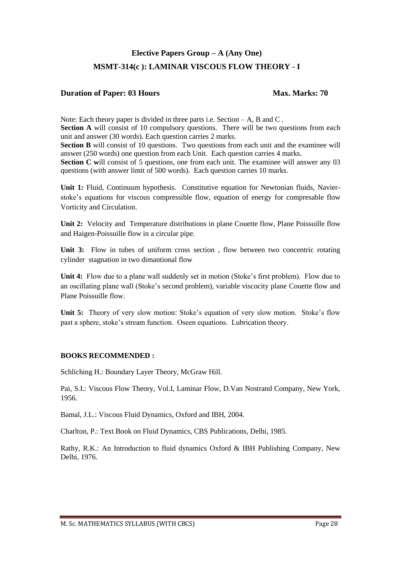# **Elective Papers Group – A (Any One) MSMT-314(c ): LAMINAR VISCOUS FLOW THEORY - I**

# **Duration of Paper: 03 Hours Max. Marks: 70**

Note: Each theory paper is divided in three parts i.e. Section – A, B and C. **Section A** will consist of 10 compulsory questions. There will be two questions from each unit and answer (30 words). Each question carries 2 marks. **Section B** will consist of 10 questions. Two questions from each unit and the examinee will answer (250 words) one question from each Unit. Each question carries 4 marks. **Section C** will consist of 5 questions, one from each unit. The examinee will answer any 03 questions (with answer limit of 500 words). Each question carries 10 marks.

**Unit 1:** Fluid, Continuum hypothesis. Constitutive equation for Newtonian fluids, Navierstoke's equations for viscous compressible flow, equation of energy for compresable flow Vorticity and Circulation.

**Unit 2:** Velocity and Temperature distributions in plane Couette flow, Plane Poissuille flow and Haigen-Poissuille flow in a circular pipe.

Unit 3: Flow in tubes of uniform cross section, flow between two concentric rotating cylinder stagnation in two dimantional flow

Unit 4: Flow due to a plane wall suddenly set in motion (Stoke's first problem). Flow due to an oscillating plane wall (Stoke's second problem), variable viscocity plane Couette flow and Plane Poissuille flow.

**Unit 5:** Theory of very slow motion: Stoke's equation of very slow motion. Stoke's flow past a sphere, stoke's stream function. Oseen equations. Lubrication theory.

### **BOOKS RECOMMENDED :**

Schliching H.: Boundary Layer Theory, McGraw Hill.

Pai, S.I.: Viscous Flow Theory, Vol.I, Laminar Flow, D.Van Nostrand Company, New York, 1956.

Bamal, J.L.: Viscous Fluid Dynamics, Oxford and IBH, 2004.

Charlton, P.: Text Book on Fluid Dynamics, CBS Publications, Delhi, 1985.

Rathy, R.K.: An Introduction to fluid dynamics Oxford & IBH Publishing Company, New Delhi, 1976.

M. Sc. MATHEMATICS SYLLABUS (WITH CBCS) Page 28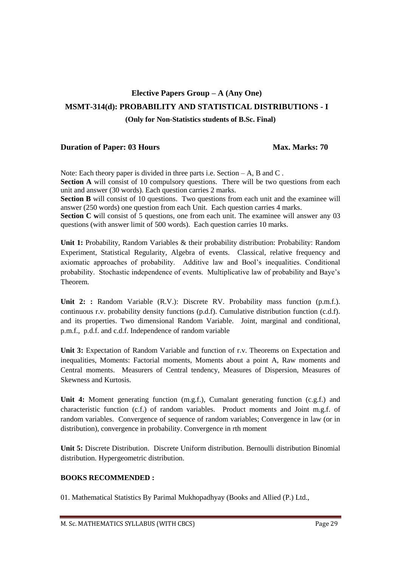# **Elective Papers Group – A (Any One) MSMT-314(d): PROBABILITY AND STATISTICAL DISTRIBUTIONS - I**

**(Only for Non-Statistics students of B.Sc. Final)**

### **Duration of Paper: 03 Hours Max. Marks: 70**

Note: Each theory paper is divided in three parts i.e. Section – A, B and C. **Section A** will consist of 10 compulsory questions. There will be two questions from each unit and answer (30 words). Each question carries 2 marks.

**Section B** will consist of 10 questions. Two questions from each unit and the examinee will answer (250 words) one question from each Unit. Each question carries 4 marks.

**Section C** will consist of 5 questions, one from each unit. The examinee will answer any 03 questions (with answer limit of 500 words). Each question carries 10 marks.

**Unit 1:** Probability, Random Variables & their probability distribution: Probability: Random Experiment, Statistical Regularity, Algebra of events. Classical, relative frequency and axiomatic approaches of probability. Additive law and Bool's inequalities. Conditional probability. Stochastic independence of events. Multiplicative law of probability and Baye's Theorem.

**Unit 2: :** Random Variable (R.V.): Discrete RV. Probability mass function (p.m.f.). continuous r.v. probability density functions (p.d.f). Cumulative distribution function (c.d.f). and its properties. Two dimensional Random Variable. Joint, marginal and conditional, p.m.f., p.d.f. and c.d.f. Independence of random variable

**Unit 3:** Expectation of Random Variable and function of r.v. Theorems on Expectation and inequalities, Moments: Factorial moments, Moments about a point A, Raw moments and Central moments. Measurers of Central tendency, Measures of Dispersion, Measures of Skewness and Kurtosis.

**Unit 4:** Moment generating function (m.g.f.), Cumalant generating function (c.g.f.) and characteristic function (c.f.) of random variables. Product moments and Joint m.g.f. of random variables. Convergence of sequence of random variables; Convergence in law (or in distribution), convergence in probability. Convergence in rth moment

**Unit 5:** Discrete Distribution. Discrete Uniform distribution. Bernoulli distribution Binomial distribution. Hypergeometric distribution.

### **BOOKS RECOMMENDED :**

01. Mathematical Statistics By Parimal Mukhopadhyay (Books and Allied (P.) Ltd.,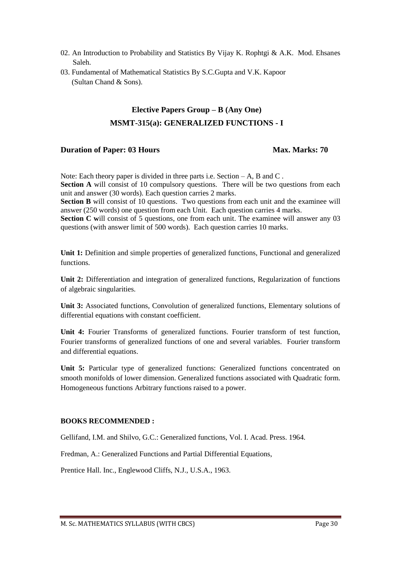- 02. An Introduction to Probability and Statistics By Vijay K. Rophtgi & A.K. Mod. Ehsanes Saleh.
- 03. Fundamental of Mathematical Statistics By S.C.Gupta and V.K. Kapoor (Sultan Chand & Sons).

questions (with answer limit of 500 words). Each question carries 10 marks.

# **Elective Papers Group – B (Any One) MSMT-315(a): GENERALIZED FUNCTIONS - I**

# **Duration of Paper: 03 Hours Max. Marks: 70**

Note: Each theory paper is divided in three parts i.e. Section  $-A$ , B and C. **Section A** will consist of 10 compulsory questions. There will be two questions from each unit and answer (30 words). Each question carries 2 marks. **Section B** will consist of 10 questions. Two questions from each unit and the examinee will answer (250 words) one question from each Unit. Each question carries 4 marks. **Section C** will consist of 5 questions, one from each unit. The examinee will answer any 03

Unit 1: Definition and simple properties of generalized functions, Functional and generalized functions.

**Unit 2:** Differentiation and integration of generalized functions, Regularization of functions of algebraic singularities.

Unit 3: Associated functions, Convolution of generalized functions, Elementary solutions of differential equations with constant coefficient.

**Unit 4:** Fourier Transforms of generalized functions. Fourier transform of test function, Fourier transforms of generalized functions of one and several variables. Fourier transform and differential equations.

Unit 5: Particular type of generalized functions: Generalized functions concentrated on smooth monifolds of lower dimension. Generalized functions associated with Quadratic form. Homogeneous functions Arbitrary functions raised to a power.

### **BOOKS RECOMMENDED :**

Gellifand, I.M. and Shilvo, G.C.: Generalized functions, Vol. I. Acad. Press. 1964.

Fredman, A.: Generalized Functions and Partial Differential Equations,

Prentice Hall. Inc., Englewood Cliffs, N.J., U.S.A., 1963.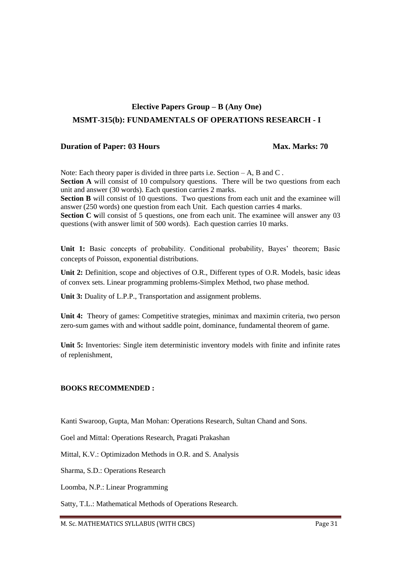# **Elective Papers Group – B (Any One) MSMT-315(b): FUNDAMENTALS OF OPERATIONS RESEARCH - I**

### **Duration of Paper: 03 Hours Max. Marks: 70**

Note: Each theory paper is divided in three parts i.e. Section – A, B and C. **Section A** will consist of 10 compulsory questions. There will be two questions from each unit and answer (30 words). Each question carries 2 marks.

**Section B** will consist of 10 questions. Two questions from each unit and the examinee will answer (250 words) one question from each Unit. Each question carries 4 marks.

**Section C** will consist of 5 questions, one from each unit. The examinee will answer any 03 questions (with answer limit of 500 words). Each question carries 10 marks.

Unit 1: Basic concepts of probability. Conditional probability, Bayes' theorem; Basic concepts of Poisson, exponential distributions.

**Unit 2:** Definition, scope and objectives of O.R., Different types of O.R. Models, basic ideas of convex sets. Linear programming problems-Simplex Method, two phase method.

Unit 3: Duality of L.P.P., Transportation and assignment problems.

**Unit 4:** Theory of games: Competitive strategies, minimax and maximin criteria, two person zero-sum games with and without saddle point, dominance, fundamental theorem of game.

**Unit 5:** Inventories: Single item deterministic inventory models with finite and infinite rates of replenishment,

### **BOOKS RECOMMENDED :**

Kanti Swaroop, Gupta, Man Mohan: Operations Research, Sultan Chand and Sons.

Goel and Mittal: Operations Research, Pragati Prakashan

Mittal, K.V.: Optimizadon Methods in O.R. and S. Analysis

Sharma, S.D.: Operations Research

Loomba, N.P.: Linear Programming

Satty, T.L.: Mathematical Methods of Operations Research.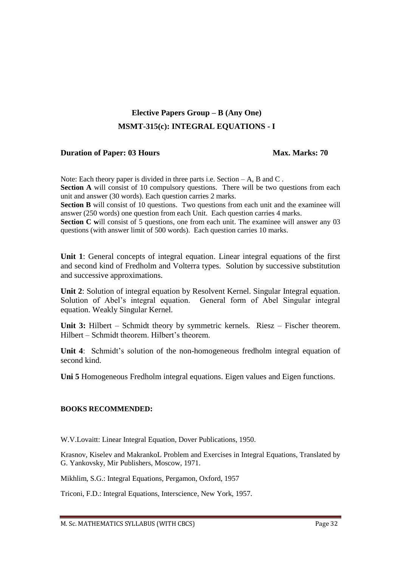# **Elective Papers Group – B (Any One) MSMT-315(c): INTEGRAL EQUATIONS - I**

# **Duration of Paper: 03 Hours Max. Marks: 70**

Note: Each theory paper is divided in three parts i.e. Section – A, B and C. **Section A** will consist of 10 compulsory questions. There will be two questions from each unit and answer (30 words). Each question carries 2 marks.

**Section B** will consist of 10 questions. Two questions from each unit and the examinee will answer (250 words) one question from each Unit. Each question carries 4 marks.

**Section C** will consist of 5 questions, one from each unit. The examinee will answer any 03 questions (with answer limit of 500 words). Each question carries 10 marks.

**Unit 1**: General concepts of integral equation. Linear integral equations of the first and second kind of Fredholm and Volterra types. Solution by successive substitution and successive approximations.

**Unit 2**: Solution of integral equation by Resolvent Kernel. Singular Integral equation. Solution of Abel's integral equation. General form of Abel Singular integral equation. Weakly Singular Kernel.

**Unit 3:** Hilbert – Schmidt theory by symmetric kernels. Riesz – Fischer theorem. Hilbert – Schmidt theorem. Hilbert's theorem.

**Unit 4**: Schmidt's solution of the non-homogeneous fredholm integral equation of second kind.

**Uni 5** Homogeneous Fredholm integral equations. Eigen values and Eigen functions.

### **BOOKS RECOMMENDED:**

W.V.Lovaitt: Linear Integral Equation, Dover Publications, 1950.

Krasnov, Kiselev and MakrankoL Problem and Exercises in Integral Equations, Translated by G. Yankovsky, Mir Publishers, Moscow, 1971.

Mikhlim, S.G.: Integral Equations, Pergamon, Oxford, 1957

Triconi, F.D.: Integral Equations, Interscience, New York, 1957.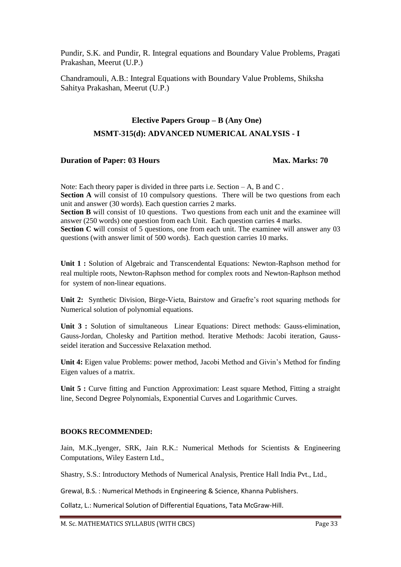Pundir, S.K. and Pundir, R. Integral equations and Boundary Value Problems, Pragati Prakashan, Meerut (U.P.)

Chandramouli, A.B.: Integral Equations with Boundary Value Problems, Shiksha Sahitya Prakashan, Meerut (U.P.)

# **Elective Papers Group – B (Any One) MSMT-315(d): ADVANCED NUMERICAL ANALYSIS - I**

# **Duration of Paper: 03 Hours Max. Marks: 70**

Note: Each theory paper is divided in three parts i.e. Section – A, B and C. **Section A** will consist of 10 compulsory questions. There will be two questions from each unit and answer (30 words). Each question carries 2 marks. **Section B** will consist of 10 questions. Two questions from each unit and the examinee will answer (250 words) one question from each Unit. Each question carries 4 marks. **Section C will consist of 5 questions, one from each unit. The examinee will answer any 03** 

questions (with answer limit of 500 words). Each question carries 10 marks.

**Unit 1 :** Solution of Algebraic and Transcendental Equations: Newton-Raphson method for real multiple roots, Newton-Raphson method for complex roots and Newton-Raphson method for system of non-linear equations.

**Unit 2:** Synthetic Division, Birge-Vieta, Bairstow and Graefre's root squaring methods for Numerical solution of polynomial equations.

**Unit 3 :** Solution of simultaneous Linear Equations: Direct methods: Gauss-elimination, Gauss-Jordan, Cholesky and Partition method. Iterative Methods: Jacobi iteration, Gaussseidel iteration and Successive Relaxation method.

**Unit 4:** Eigen value Problems: power method, Jacobi Method and Givin's Method for finding Eigen values of a matrix.

Unit 5 : Curve fitting and Function Approximation: Least square Method, Fitting a straight line, Second Degree Polynomials, Exponential Curves and Logarithmic Curves.

### **BOOKS RECOMMENDED:**

Jain, M.K.,Iyenger, SRK, Jain R.K.: Numerical Methods for Scientists & Engineering Computations, Wiley Eastern Ltd.,

Shastry, S.S.: Introductory Methods of Numerical Analysis, Prentice Hall India Pvt., Ltd.,

Grewal, B.S. : Numerical Methods in Engineering & Science, Khanna Publishers.

Collatz, L.: Numerical Solution of Differential Equations, Tata McGraw-Hill.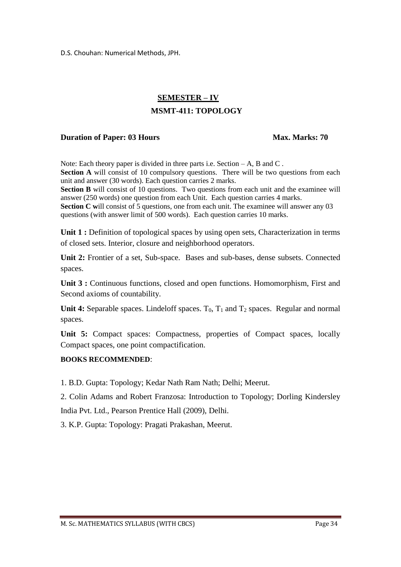D.S. Chouhan: Numerical Methods, JPH.

# **SEMESTER – IV**

# **MSMT-411: TOPOLOGY**

# **Duration of Paper: 03 Hours Max. Marks: 70**

Note: Each theory paper is divided in three parts i.e. Section  $-A$ , B and C. **Section A** will consist of 10 compulsory questions. There will be two questions from each unit and answer (30 words). Each question carries 2 marks. **Section B** will consist of 10 questions. Two questions from each unit and the examinee will answer (250 words) one question from each Unit. Each question carries 4 marks. **Section C will consist of 5 questions, one from each unit. The examinee will answer any 03** 

questions (with answer limit of 500 words). Each question carries 10 marks.

**Unit 1 :** Definition of topological spaces by using open sets, Characterization in terms of closed sets. Interior, closure and neighborhood operators.

**Unit 2:** Frontier of a set, Sub-space. Bases and sub-bases, dense subsets. Connected spaces.

**Unit 3 :** Continuous functions, closed and open functions. Homomorphism, First and Second axioms of countability.

**Unit 4:** Separable spaces. Lindeloff spaces.  $T_0$ ,  $T_1$  and  $T_2$  spaces. Regular and normal spaces.

**Unit 5:** Compact spaces: Compactness, properties of Compact spaces, locally Compact spaces, one point compactification.

### **BOOKS RECOMMENDED**:

1. B.D. Gupta: Topology; Kedar Nath Ram Nath; Delhi; Meerut.

2. Colin Adams and Robert Franzosa: Introduction to Topology; Dorling Kindersley India Pvt. Ltd., Pearson Prentice Hall (2009), Delhi.

3. K.P. Gupta: Topology: Pragati Prakashan, Meerut.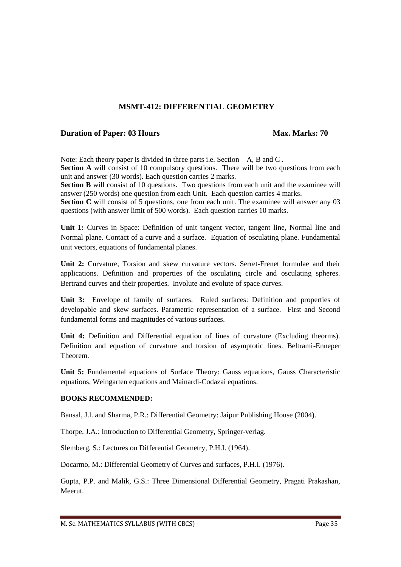# **MSMT-412: DIFFERENTIAL GEOMETRY**

### **Duration of Paper: 03 Hours Max. Marks: 70**

Note: Each theory paper is divided in three parts i.e. Section – A, B and C. **Section A** will consist of 10 compulsory questions. There will be two questions from each unit and answer (30 words). Each question carries 2 marks.

**Section B** will consist of 10 questions. Two questions from each unit and the examinee will answer (250 words) one question from each Unit. Each question carries 4 marks.

**Section C** will consist of 5 questions, one from each unit. The examinee will answer any 03 questions (with answer limit of 500 words). Each question carries 10 marks.

**Unit 1:** Curves in Space: Definition of unit tangent vector, tangent line, Normal line and Normal plane. Contact of a curve and a surface. Equation of osculating plane. Fundamental unit vectors, equations of fundamental planes.

**Unit 2:** Curvature, Torsion and skew curvature vectors. Serret-Frenet formulae and their applications. Definition and properties of the osculating circle and osculating spheres. Bertrand curves and their properties. Involute and evolute of space curves.

**Unit 3:** Envelope of family of surfaces. Ruled surfaces: Definition and properties of developable and skew surfaces. Parametric representation of a surface. First and Second fundamental forms and magnitudes of various surfaces.

**Unit 4:** Definition and Differential equation of lines of curvature (Excluding theorms). Definition and equation of curvature and torsion of asymptotic lines. Beltrami-Enneper Theorem.

**Unit 5:** Fundamental equations of Surface Theory: Gauss equations, Gauss Characteristic equations, Weingarten equations and Mainardi-Codazai equations.

### **BOOKS RECOMMENDED:**

Bansal, J.l. and Sharma, P.R.: Differential Geometry: Jaipur Publishing House (2004).

Thorpe, J.A.: Introduction to Differential Geometry, Springer-verlag.

Slemberg, S.: Lectures on Differential Geometry, P.H.I. (1964).

Docarmo, M.: Differential Geometry of Curves and surfaces, P.H.I. (1976).

Gupta, P.P. and Malik, G.S.: Three Dimensional Differential Geometry, Pragati Prakashan, Meerut.

M. Sc. MATHEMATICS SYLLABUS (WITH CBCS) Page 35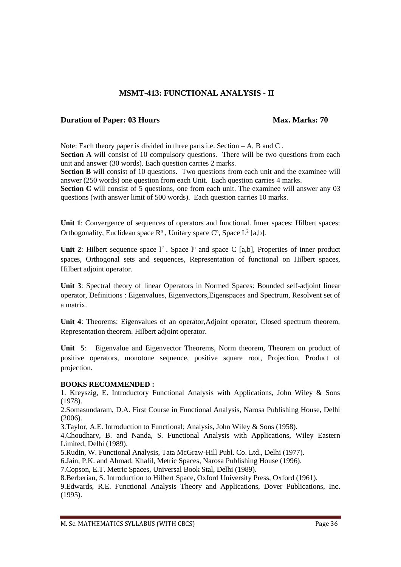# **MSMT-413: FUNCTIONAL ANALYSIS - II**

### **Duration of Paper: 03 Hours Max. Marks: 70**

Note: Each theory paper is divided in three parts i.e. Section – A, B and C.

**Section A** will consist of 10 compulsory questions. There will be two questions from each unit and answer (30 words). Each question carries 2 marks.

**Section B** will consist of 10 questions. Two questions from each unit and the examinee will answer (250 words) one question from each Unit. Each question carries 4 marks.

**Section C will consist of 5 questions, one from each unit. The examinee will answer any 03** questions (with answer limit of 500 words). Each question carries 10 marks.

**Unit 1**: Convergence of sequences of operators and functional. Inner spaces: Hilbert spaces: Orthogonality, Euclidean space  $\mathbb{R}^n$ , Unitary space  $\mathbb{C}^n$ , Space  $\mathbb{L}^2$  [a,b].

Unit 2: Hilbert sequence space  $l^2$ . Space  $l^p$  and space C [a,b], Properties of inner product spaces, Orthogonal sets and sequences, Representation of functional on Hilbert spaces, Hilbert adjoint operator.

**Unit 3**: Spectral theory of linear Operators in Normed Spaces: Bounded self-adjoint linear operator, Definitions : Eigenvalues, Eigenvectors,Eigenspaces and Spectrum, Resolvent set of a matrix.

**Unit 4**: Theorems: Eigenvalues of an operator,Adjoint operator, Closed spectrum theorem, Representation theorem. Hilbert adjoint operator.

**Unit 5**: Eigenvalue and Eigenvector Theorems, Norm theorem, Theorem on product of positive operators, monotone sequence, positive square root, Projection, Product of projection.

### **BOOKS RECOMMENDED :**

1. Kreyszig, E. Introductory Functional Analysis with Applications, John Wiley & Sons (1978).

2.Somasundaram, D.A. First Course in Functional Analysis, Narosa Publishing House, Delhi (2006).

3.Taylor, A.E. Introduction to Functional; Analysis, John Wiley & Sons (1958).

4.Choudhary, B. and Nanda, S. Functional Analysis with Applications, Wiley Eastern Limited, Delhi (1989).

5.Rudin, W. Functional Analysis, Tata McGraw-Hill Publ. Co. Ltd., Delhi (1977).

6.Jain, P.K. and Ahmad, Khalil, Metric Spaces, Narosa Publishing House (1996).

7.Copson, E.T. Metric Spaces, Universal Book Stal, Delhi (1989).

8.Berberian, S. Introduction to Hilbert Space, Oxford University Press, Oxford (1961).

9.Edwards, R.E. Functional Analysis Theory and Applications, Dover Publications, Inc. (1995).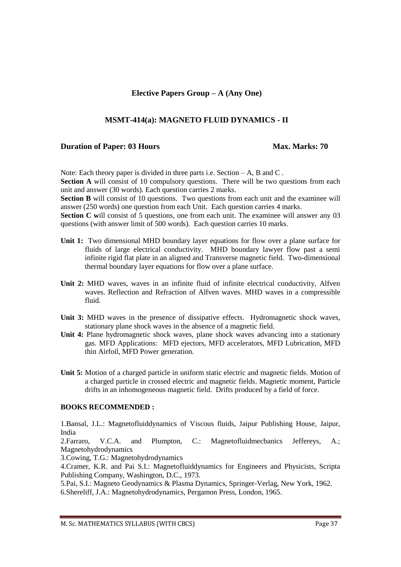### **MSMT-414(a): MAGNETO FLUID DYNAMICS - II**

### **Duration of Paper: 03 Hours Max. Marks: 70**

Note: Each theory paper is divided in three parts i.e. Section – A, B and C.

**Section A** will consist of 10 compulsory questions. There will be two questions from each unit and answer (30 words). Each question carries 2 marks.

**Section B** will consist of 10 questions. Two questions from each unit and the examinee will answer (250 words) one question from each Unit. Each question carries 4 marks.

**Section C** will consist of 5 questions, one from each unit. The examinee will answer any 03 questions (with answer limit of 500 words). Each question carries 10 marks.

- **Unit 1:** Two dimensional MHD boundary layer equations for flow over a plane surface for fluids of large electrical conductivity. MHD boundary lawyer flow past a semi infinite rigid flat plate in an aligned and Transverse magnetic field. Two-dimensional thermal boundary layer equations for flow over a plane surface.
- **Unit 2:** MHD waves, waves in an infinite fluid of infinite electrical conductivity, Alfven waves. Reflection and Refraction of Alfven waves. MHD waves in a compressible fluid.
- **Unit 3:** MHD waves in the presence of dissipative effects. Hydromagnetic shock waves, stationary plane shock waves in the absence of a magnetic field.
- **Unit 4:** Plane hydromagnetic shock waves, plane shock waves advancing into a stationary gas. MFD Applications: MFD ejectors, MFD accelerators, MFD Lubrication, MFD thin Airfoil, MFD Power generation.
- **Unit 5:** Motion of a charged particle in uniform static electric and magnetic fields. Motion of a charged particle in crossed electric and magnetic fields. Magnetic moment, Particle drifts in an inhomogeneous magnetic field. Drifts produced by a field of force.

### **BOOKS RECOMMENDED :**

1.Bansal, J.L.: Magnetofluiddynamics of Viscous fluids, Jaipur Publishing House, Jaipur, India

2.Farraro, V.C.A. and Plumpton, C.: Magnetofluidmecbanics Jeffereys, A.; Magnetohydrodynamics

3.Cowing, T.G.: Magnetohydrodynamics

4.Cramer, K.R. and Pai S.I.: Magnetofluiddynamics for Engineers and Physicists, Scripta Publishing Company, Washington, D.C., 1973.

5.Pai, S.I.: Magneto Geodynamics & Plasma Dynamics, Springer-Verlag, New York, 1962.

6.Shereliff, J.A.: Magnetohydrodynamics, Pergamon Press, London, 1965.

M. Sc. MATHEMATICS SYLLABUS (WITH CBCS) Page 37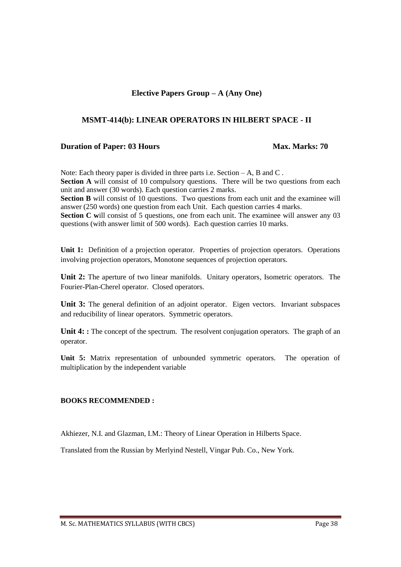### **MSMT-414(b): LINEAR OPERATORS IN HILBERT SPACE - II**

### **Duration of Paper: 03 Hours Max. Marks: 70**

Note: Each theory paper is divided in three parts i.e. Section – A, B and C. **Section A** will consist of 10 compulsory questions. There will be two questions from each unit and answer (30 words). Each question carries 2 marks.

**Section B** will consist of 10 questions. Two questions from each unit and the examinee will answer (250 words) one question from each Unit. Each question carries 4 marks.

**Section C** will consist of 5 questions, one from each unit. The examinee will answer any 03 questions (with answer limit of 500 words). Each question carries 10 marks.

**Unit 1:** Definition of a projection operator. Properties of projection operators. Operations involving projection operators, Monotone sequences of projection operators.

**Unit 2:** The aperture of two linear manifolds. Unitary operators, Isometric operators. The Fourier-Plan-Cherel operator. Closed operators.

**Unit 3:** The general definition of an adjoint operator. Eigen vectors. Invariant subspaces and reducibility of linear operators. Symmetric operators.

Unit 4: **:** The concept of the spectrum. The resolvent conjugation operators. The graph of an operator.

**Unit 5:** Matrix representation of unbounded symmetric operators. The operation of multiplication by the independent variable

### **BOOKS RECOMMENDED :**

Akhiezer, N.I. and Glazman, I.M.: Theory of Linear Operation in Hilberts Space.

Translated from the Russian by Merlyind Nestell, Vingar Pub. Co., New York.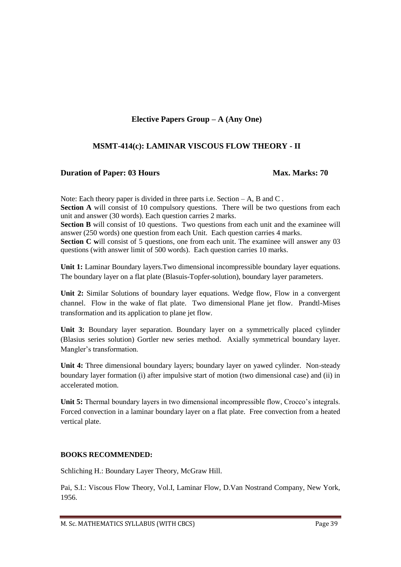# **MSMT-414(c): LAMINAR VISCOUS FLOW THEORY - II**

### **Duration of Paper: 03 Hours Max. Marks: 70**

Note: Each theory paper is divided in three parts i.e. Section – A, B and C. **Section A** will consist of 10 compulsory questions. There will be two questions from each unit and answer (30 words). Each question carries 2 marks. **Section B** will consist of 10 questions. Two questions from each unit and the examinee will answer (250 words) one question from each Unit. Each question carries 4 marks. **Section C** will consist of 5 questions, one from each unit. The examinee will answer any 03

**Unit 1:** Laminar Boundary layers.Two dimensional incompressible boundary layer equations. The boundary layer on a flat plate (Blasuis-Topfer-solution), boundary layer parameters.

questions (with answer limit of 500 words). Each question carries 10 marks.

**Unit 2:** Similar Solutions of boundary layer equations. Wedge flow, Flow in a convergent channel. Flow in the wake of flat plate. Two dimensional Plane jet flow. Prandtl-Mises transformation and its application to plane jet flow.

**Unit 3:** Boundary layer separation. Boundary layer on a symmetrically placed cylinder (Blasius series solution) Gortler new series method. Axially symmetrical boundary layer. Mangler's transformation.

Unit 4: Three dimensional boundary layers; boundary layer on yawed cylinder. Non-steady boundary layer formation (i) after impulsive start of motion (two dimensional case) and (ii) in accelerated motion.

**Unit 5:** Thermal boundary layers in two dimensional incompressible flow, Crocco's integrals. Forced convection in a laminar boundary layer on a flat plate. Free convection from a heated vertical plate.

### **BOOKS RECOMMENDED:**

Schliching H.: Boundary Layer Theory, McGraw Hill.

Pai, S.I.: Viscous Flow Theory, Vol.I, Laminar Flow, D.Van Nostrand Company, New York, 1956.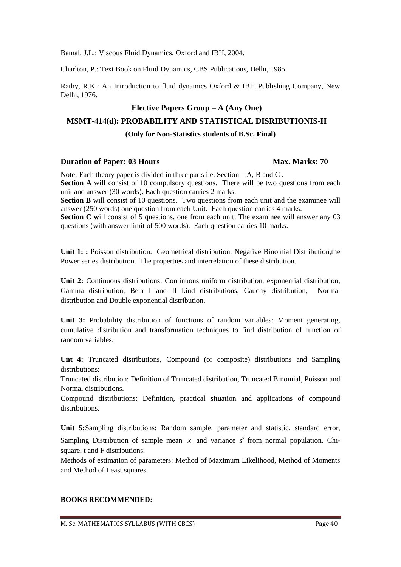Bamal, J.L.: Viscous Fluid Dynamics, Oxford and IBH, 2004.

Charlton, P.: Text Book on Fluid Dynamics, CBS Publications, Delhi, 1985.

Rathy, R.K.: An Introduction to fluid dynamics Oxford & IBH Publishing Company, New Delhi, 1976.

# **Elective Papers Group – A (Any One)**

### **MSMT-414(d): PROBABILITY AND STATISTICAL DISRIBUTIONIS-II**

### **(Only for Non-Statistics students of B.Sc. Final)**

### **Duration of Paper: 03 Hours Max. Marks: 70**

Note: Each theory paper is divided in three parts i.e. Section – A, B and C. **Section A** will consist of 10 compulsory questions. There will be two questions from each unit and answer (30 words). Each question carries 2 marks. **Section B** will consist of 10 questions. Two questions from each unit and the examinee will

answer (250 words) one question from each Unit. Each question carries 4 marks. **Section C** will consist of 5 questions, one from each unit. The examinee will answer any 03 questions (with answer limit of 500 words). Each question carries 10 marks.

**Unit 1: :** Poisson distribution. Geometrical distribution. Negative Binomial Distribution,the Power series distribution. The properties and interrelation of these distribution.

**Unit 2:** Continuous distributions: Continuous uniform distribution, exponential distribution, Gamma distribution, Beta I and II kind distributions, Cauchy distribution, Normal distribution and Double exponential distribution.

**Unit 3:** Probability distribution of functions of random variables: Moment generating, cumulative distribution and transformation techniques to find distribution of function of random variables.

**Unt 4:** Truncated distributions, Compound (or composite) distributions and Sampling distributions:

Truncated distribution: Definition of Truncated distribution, Truncated Binomial, Poisson and Normal distributions.

Compound distributions: Definition, practical situation and applications of compound distributions.

**Unit 5:**Sampling distributions: Random sample, parameter and statistic, standard error, Sampling Distribution of sample mean  $x$  and variance  $s^2$  from normal population. Chisquare, t and F distributions.

Methods of estimation of parameters: Method of Maximum Likelihood, Method of Moments and Method of Least squares.

### **BOOKS RECOMMENDED:**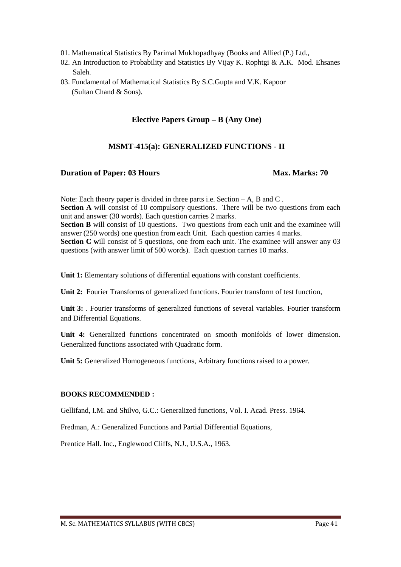- 01. Mathematical Statistics By Parimal Mukhopadhyay (Books and Allied (P.) Ltd.,
- 02. An Introduction to Probability and Statistics By Vijay K. Rophtgi & A.K. Mod. Ehsanes Saleh.
- 03. Fundamental of Mathematical Statistics By S.C.Gupta and V.K. Kapoor (Sultan Chand & Sons).

# **MSMT-415(a): GENERALIZED FUNCTIONS - II**

### **Duration of Paper: 03 Hours Max. Marks: 70**

Note: Each theory paper is divided in three parts i.e. Section – A, B and C. **Section A** will consist of 10 compulsory questions. There will be two questions from each unit and answer (30 words). Each question carries 2 marks. **Section B** will consist of 10 questions. Two questions from each unit and the examinee will answer (250 words) one question from each Unit. Each question carries 4 marks. **Section C** will consist of 5 questions, one from each unit. The examinee will answer any 03 questions (with answer limit of 500 words). Each question carries 10 marks.

**Unit 1:** Elementary solutions of differential equations with constant coefficients.

**Unit 2:** Fourier Transforms of generalized functions. Fourier transform of test function,

Unit 3: Bourier transforms of generalized functions of several variables. Fourier transform and Differential Equations.

**Unit 4:** Generalized functions concentrated on smooth monifolds of lower dimension. Generalized functions associated with Quadratic form.

**Unit 5:** Generalized Homogeneous functions, Arbitrary functions raised to a power.

### **BOOKS RECOMMENDED :**

Gellifand, I.M. and Shilvo, G.C.: Generalized functions, Vol. I. Acad. Press. 1964.

Fredman, A.: Generalized Functions and Partial Differential Equations,

Prentice Hall. Inc., Englewood Cliffs, N.J., U.S.A., 1963.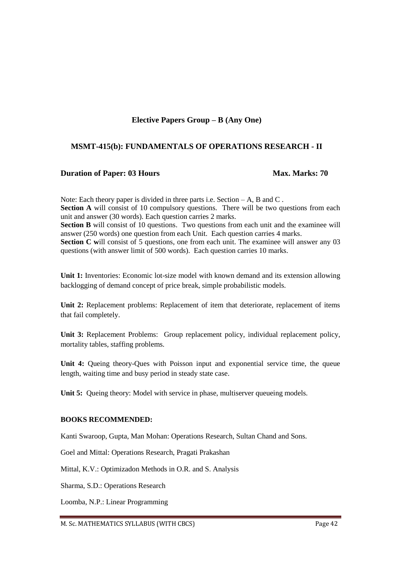# **MSMT-415(b): FUNDAMENTALS OF OPERATIONS RESEARCH - II**

### **Duration of Paper: 03 Hours Max. Marks: 70**

Note: Each theory paper is divided in three parts i.e. Section – A, B and C. **Section A** will consist of 10 compulsory questions. There will be two questions from each unit and answer (30 words). Each question carries 2 marks. **Section B** will consist of 10 questions. Two questions from each unit and the examinee will answer (250 words) one question from each Unit. Each question carries 4 marks. **Section C** will consist of 5 questions, one from each unit. The examinee will answer any 03 questions (with answer limit of 500 words). Each question carries 10 marks.

Unit 1: Inventories: Economic lot-size model with known demand and its extension allowing backlogging of demand concept of price break, simple probabilistic models.

**Unit 2:** Replacement problems: Replacement of item that deteriorate, replacement of items that fail completely.

**Unit 3:** Replacement Problems: Group replacement policy, individual replacement policy, mortality tables, staffing problems.

Unit 4: Queing theory-Ques with Poisson input and exponential service time, the queue length, waiting time and busy period in steady state case.

**Unit 5:** Queing theory: Model with service in phase, multiserver queueing models.

### **BOOKS RECOMMENDED:**

Kanti Swaroop, Gupta, Man Mohan: Operations Research, Sultan Chand and Sons.

Goel and Mittal: Operations Research, Pragati Prakashan

Mittal, K.V.: Optimizadon Methods in O.R. and S. Analysis

Sharma, S.D.: Operations Research

Loomba, N.P.: Linear Programming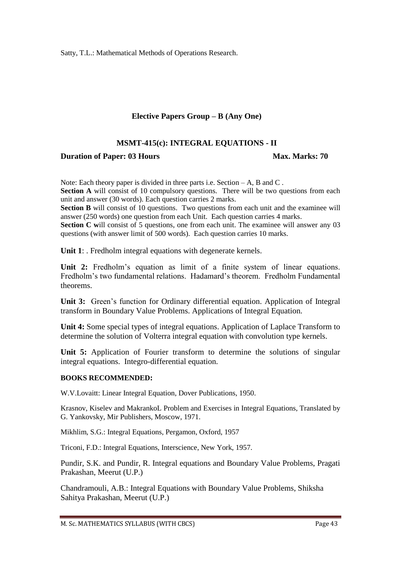Satty, T.L.: Mathematical Methods of Operations Research.

# **Elective Papers Group – B (Any One)**

# **MSMT-415(c): INTEGRAL EQUATIONS - II**

# **Duration of Paper: 03 Hours Max. Marks: 70**

Note: Each theory paper is divided in three parts i.e. Section – A, B and C. **Section A** will consist of 10 compulsory questions. There will be two questions from each unit and answer (30 words). Each question carries 2 marks.

**Section B** will consist of 10 questions. Two questions from each unit and the examinee will answer (250 words) one question from each Unit. Each question carries 4 marks.

**Section C** will consist of 5 questions, one from each unit. The examinee will answer any 03 questions (with answer limit of 500 words). Each question carries 10 marks.

**Unit 1:** . Fredholm integral equations with degenerate kernels.

Unit 2: Fredholm's equation as limit of a finite system of linear equations. Fredholm's two fundamental relations. Hadamard's theorem. Fredholm Fundamental theorems.

**Unit 3:** Green's function for Ordinary differential equation. Application of Integral transform in Boundary Value Problems. Applications of Integral Equation.

**Unit 4:** Some special types of integral equations. Application of Laplace Transform to determine the solution of Volterra integral equation with convolution type kernels.

**Unit 5:** Application of Fourier transform to determine the solutions of singular integral equations. Integro-differential equation.

### **BOOKS RECOMMENDED:**

W.V.Lovaitt: Linear Integral Equation, Dover Publications, 1950.

Krasnov, Kiselev and MakrankoL Problem and Exercises in Integral Equations, Translated by G. Yankovsky, Mir Publishers, Moscow, 1971.

Mikhlim, S.G.: Integral Equations, Pergamon, Oxford, 1957

Triconi, F.D.: Integral Equations, Interscience, New York, 1957.

Pundir, S.K. and Pundir, R. Integral equations and Boundary Value Problems, Pragati Prakashan, Meerut (U.P.)

Chandramouli, A.B.: Integral Equations with Boundary Value Problems, Shiksha Sahitya Prakashan, Meerut (U.P.)

M. Sc. MATHEMATICS SYLLABUS (WITH CBCS) Page 43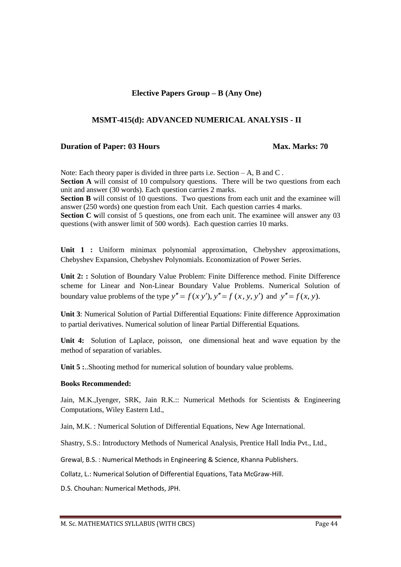### **MSMT-415(d): ADVANCED NUMERICAL ANALYSIS - II**

### **Duration of Paper: 03 Hours Max. Marks: 70**

Note: Each theory paper is divided in three parts i.e. Section – A, B and C. **Section A** will consist of 10 compulsory questions. There will be two questions from each unit and answer (30 words). Each question carries 2 marks.

**Section B** will consist of 10 questions. Two questions from each unit and the examinee will answer (250 words) one question from each Unit. Each question carries 4 marks.

**Section C** will consist of 5 questions, one from each unit. The examinee will answer any 03 questions (with answer limit of 500 words). Each question carries 10 marks.

**Unit 1 :** Uniform minimax polynomial approximation, Chebyshev approximations, Chebyshev Expansion, Chebyshev Polynomials. Economization of Power Series.

**Unit 2: :** Solution of Boundary Value Problem: Finite Difference method. Finite Difference scheme for Linear and Non-Linear Boundary Value Problems. Numerical Solution of boundary value problems of the type  $y'' = f(x, y')$ ,  $y'' = f(x, y, y')$  and  $y'' = f(x, y)$ .

**Unit 3**: Numerical Solution of Partial Differential Equations: Finite difference Approximation to partial derivatives. Numerical solution of linear Partial Differential Equations.

**Unit 4:** Solution of Laplace, poisson, one dimensional heat and wave equation by the method of separation of variables.

Unit 5 :..Shooting method for numerical solution of boundary value problems.

### **Books Recommended:**

Jain, M.K.,Iyenger, SRK, Jain R.K.:: Numerical Methods for Scientists & Engineering Computations, Wiley Eastern Ltd.,

Jain, M.K. : Numerical Solution of Differential Equations, New Age International.

Shastry, S.S.: Introductory Methods of Numerical Analysis, Prentice Hall India Pvt., Ltd.,

Grewal, B.S. : Numerical Methods in Engineering & Science, Khanna Publishers.

Collatz, L.: Numerical Solution of Differential Equations, Tata McGraw-Hill.

D.S. Chouhan: Numerical Methods, JPH.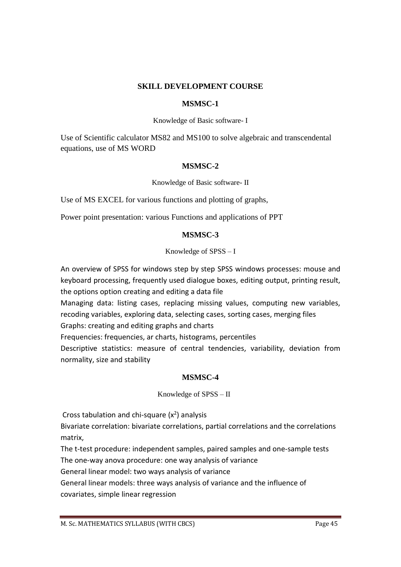### **SKILL DEVELOPMENT COURSE**

### **MSMSC-1**

Knowledge of Basic software- I

Use of Scientific calculator MS82 and MS100 to solve algebraic and transcendental equations, use of MS WORD

# **MSMSC-2**

Knowledge of Basic software- II

Use of MS EXCEL for various functions and plotting of graphs,

Power point presentation: various Functions and applications of PPT

# **MSMSC-3**

# Knowledge of SPSS – I

An overview of SPSS for windows step by step SPSS windows processes: mouse and keyboard processing, frequently used dialogue boxes, editing output, printing result, the options option creating and editing a data file

Managing data: listing cases, replacing missing values, computing new variables, recoding variables, exploring data, selecting cases, sorting cases, merging files Graphs: creating and editing graphs and charts

Frequencies: frequencies, ar charts, histograms, percentiles

Descriptive statistics: measure of central tendencies, variability, deviation from normality, size and stability

# **MSMSC-4**

# Knowledge of SPSS – II

Cross tabulation and chi-square  $(x^2)$  analysis

Bivariate correlation: bivariate correlations, partial correlations and the correlations matrix,

The t-test procedure: independent samples, paired samples and one-sample tests The one-way anova procedure: one way analysis of variance

General linear model: two ways analysis of variance

General linear models: three ways analysis of variance and the influence of covariates, simple linear regression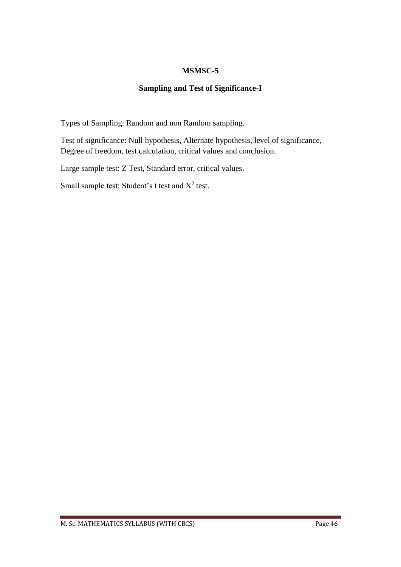# **MSMSC-5**

# **Sampling and Test of Significance-I**

Types of Sampling: Random and non Random sampling.

Test of significance: Null hypothesis, Alternate hypothesis, level of significance, Degree of freedom, test calculation, critical values and conclusion.

Large sample test: Z Test, Standard error, critical values.

Small sample test: Student's t test and  $X^2$  test.